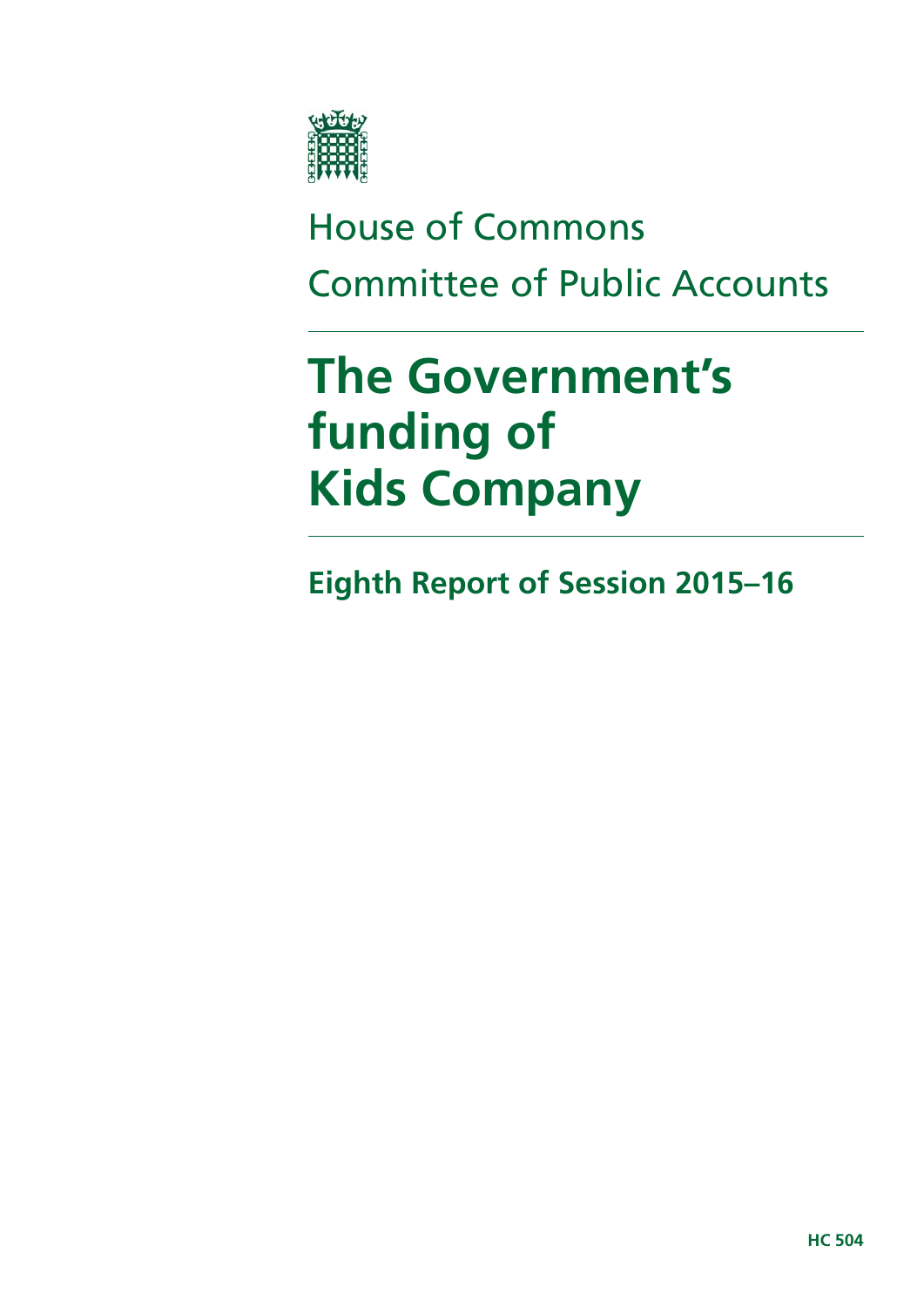

# House of Commons Committee of Public Accounts

# **The Government's funding of Kids Company**

**Eighth Report of Session 2015–16**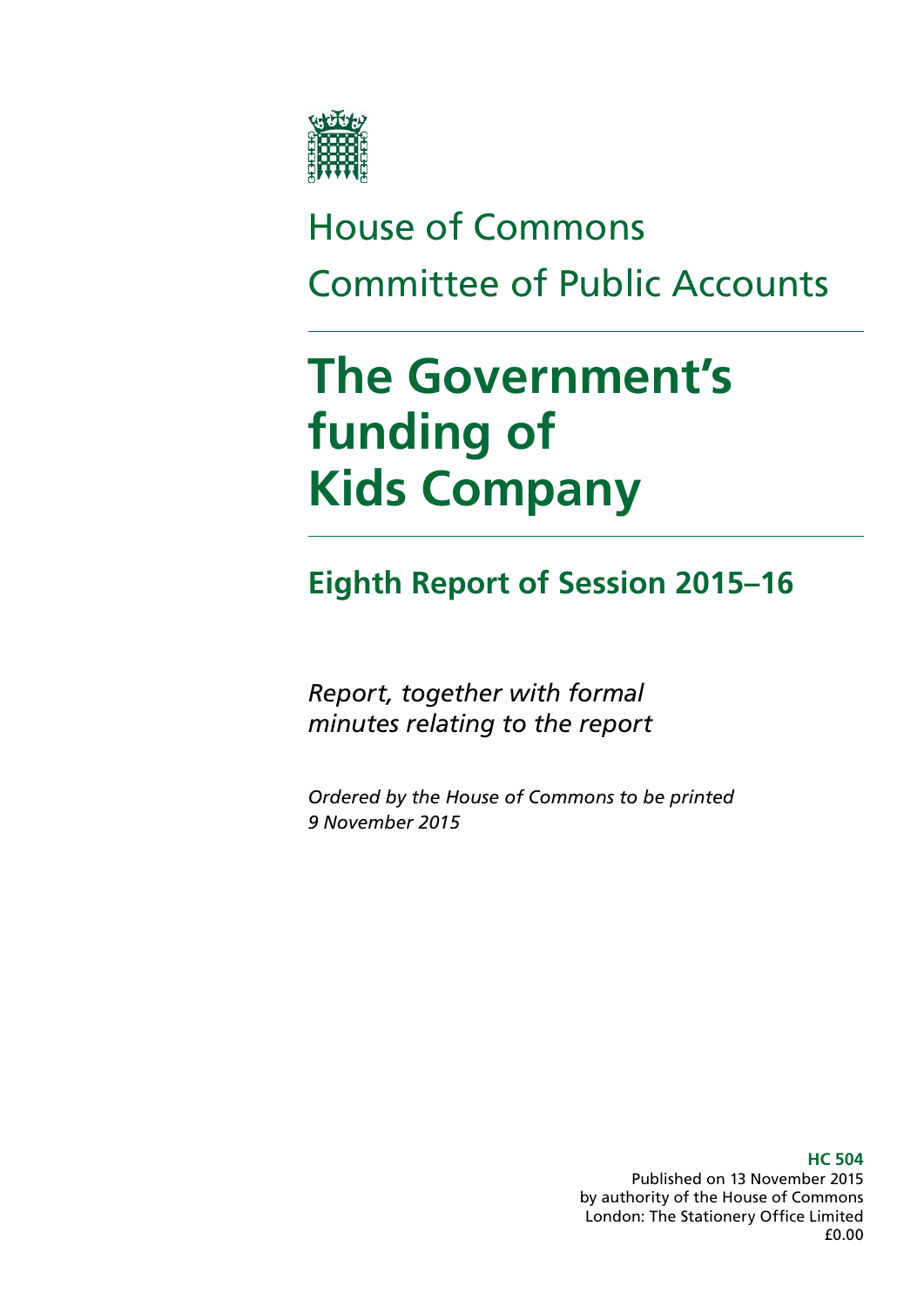

# House of Commons Committee of Public Accounts

# **The Government's funding of Kids Company**

## **Eighth Report of Session 2015–16**

*Report, together with formal minutes relating to the report*

*Ordered by the House of Commons to be printed 9 November 2015*

> **HC 504** Published on 13 November 2015 by authority of the House of Commons London: The Stationery Office Limited £0.00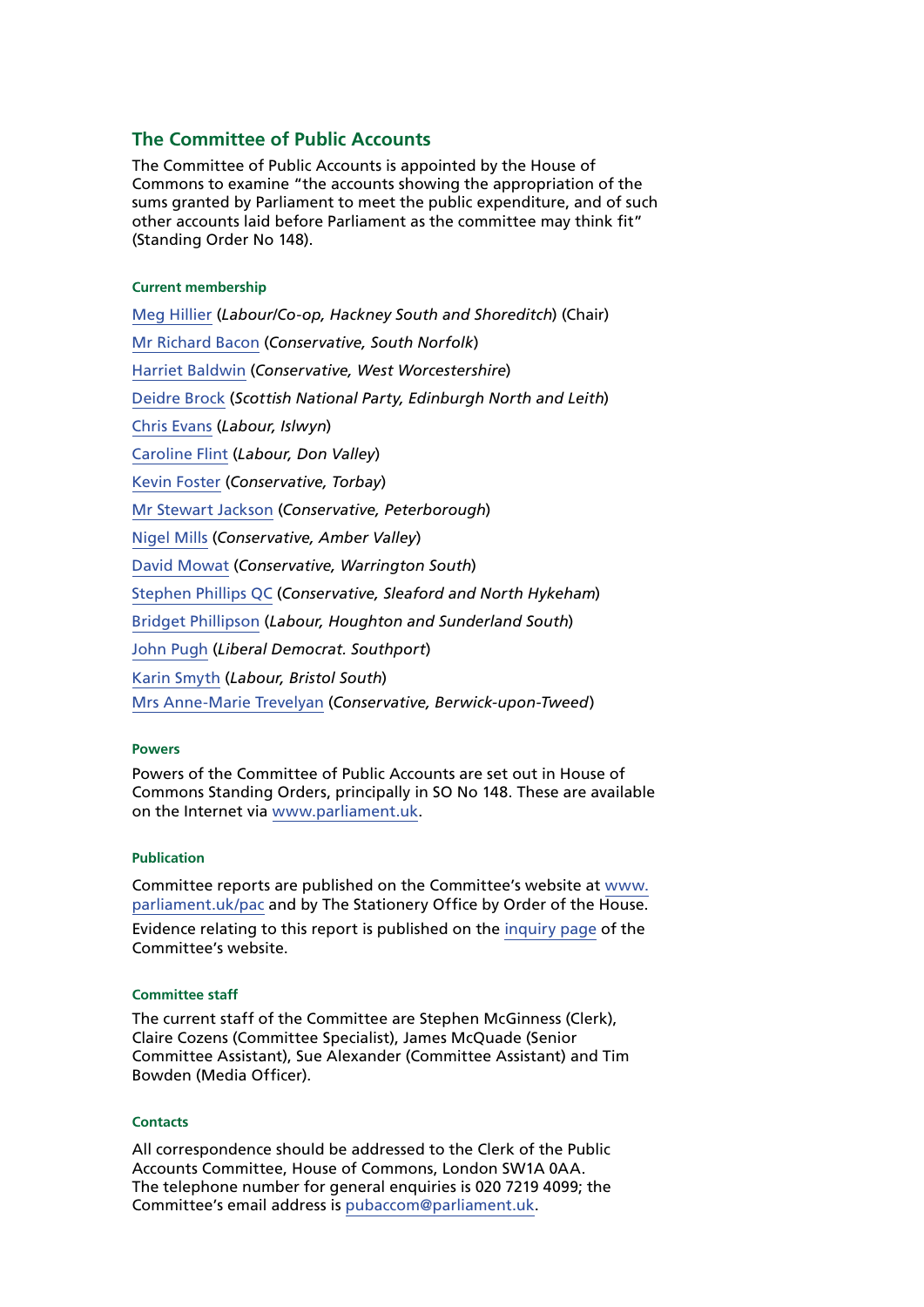### **The Committee of Public Accounts**

The Committee of Public Accounts is appointed by the House of Commons to examine "the accounts showing the appropriation of the sums granted by Parliament to meet the public expenditure, and of such other accounts laid before Parliament as the committee may think fit" (Standing Order No 148).

#### **Current membership**

[Meg Hillier](http://www.parliament.uk/biographies/commons/meg-hillier/1524) (*Labour/Co-op, Hackney South and Shoreditch*) (Chair) [Mr Richard Bacon](http://www.parliament.uk/biographies/commons/mr-richard-bacon/1451) (*Conservative, South Norfolk*) [Harriet Baldwin](http://www.parliament.uk/biographies/commons/harriett-baldwin/4107) (*Conservative, West Worcestershire*) [Deidre Brock](http://www.parliament.uk/biographies/commons/deidre-brock/4417) (*Scottish National Party, Edinburgh North and Leith*) [Chris Evans](http://www.parliament.uk/biographies/commons/chris-evans/4040) (*Labour, Islwyn*) [Caroline Flint](http://www.parliament.uk/biographies/commons/caroline-flint/389) (*Labour, Don Valley*) [Kevin Foster](http://www.parliament.uk/biographies/commons/kevin-foster/4451) (*Conservative, Torbay*) [Mr Stewart Jackson](http://www.parliament.uk/biographies/commons/mr-stewart-jackson/1551) (*Conservative, Peterborough*) [Nigel Mills](http://www.parliament.uk/biographies/commons/nigel-mills/4136) (*Conservative, Amber Valley*) [David Mowat](http://www.parliament.uk/biographies/commons/david-mowat/4080) (*Conservative, Warrington South*) [Stephen Phillips QC](http://www.parliament.uk/biographies/commons/stephen-phillips/4054) (*Conservative, Sleaford and North Hykeham*) [Bridget Phillipson](http://www.parliament.uk/biographies/commons/bridget-phillipson/4046) (*Labour, Houghton and Sunderland South*) [John Pugh](http://www.parliament.uk/biographies/commons/john-pugh/1454) (*Liberal Democrat. Southport*) [Karin Smyth](http://www.parliament.uk/biographies/commons/karin-smyth/4444) (*Labour, Bristol South*) [Mrs Anne-Marie Trevelyan](http://www.parliament.uk/biographies/commons/mrs-anne-marie-trevelyan/4531) (*Conservative, Berwick-upon-Tweed*)

#### **Powers**

Powers of the Committee of Public Accounts are set out in House of Commons Standing Orders, principally in SO No 148. These are available on the Internet via [www.parliament.uk.](http://www.parliament.uk)

#### **Publication**

Committee reports are published on the Committee's website at [www.](http://www.parliament.uk/pac) [parliament.uk/pac](http://www.parliament.uk/pac) and by The Stationery Office by Order of the House. Evidence relating to this report is published on the [inquiry page](http://www.parliament.uk/business/committees/committees-a-z/commons-select/public-accounts-committee/inquiries/parliament-2015/hm-revenue-and-customs-2014-15-accounts/) of the Committee's website.

#### **Committee staff**

The current staff of the Committee are Stephen McGinness (Clerk), Claire Cozens (Committee Specialist), James McQuade (Senior Committee Assistant), Sue Alexander (Committee Assistant) and Tim Bowden (Media Officer).

#### **Contacts**

All correspondence should be addressed to the Clerk of the Public Accounts Committee, House of Commons, London SW1A 0AA. The telephone number for general enquiries is 020 7219 4099; the Committee's email address is [pubaccom@parliament.uk.](mailto:pubaccom@parliament.uk)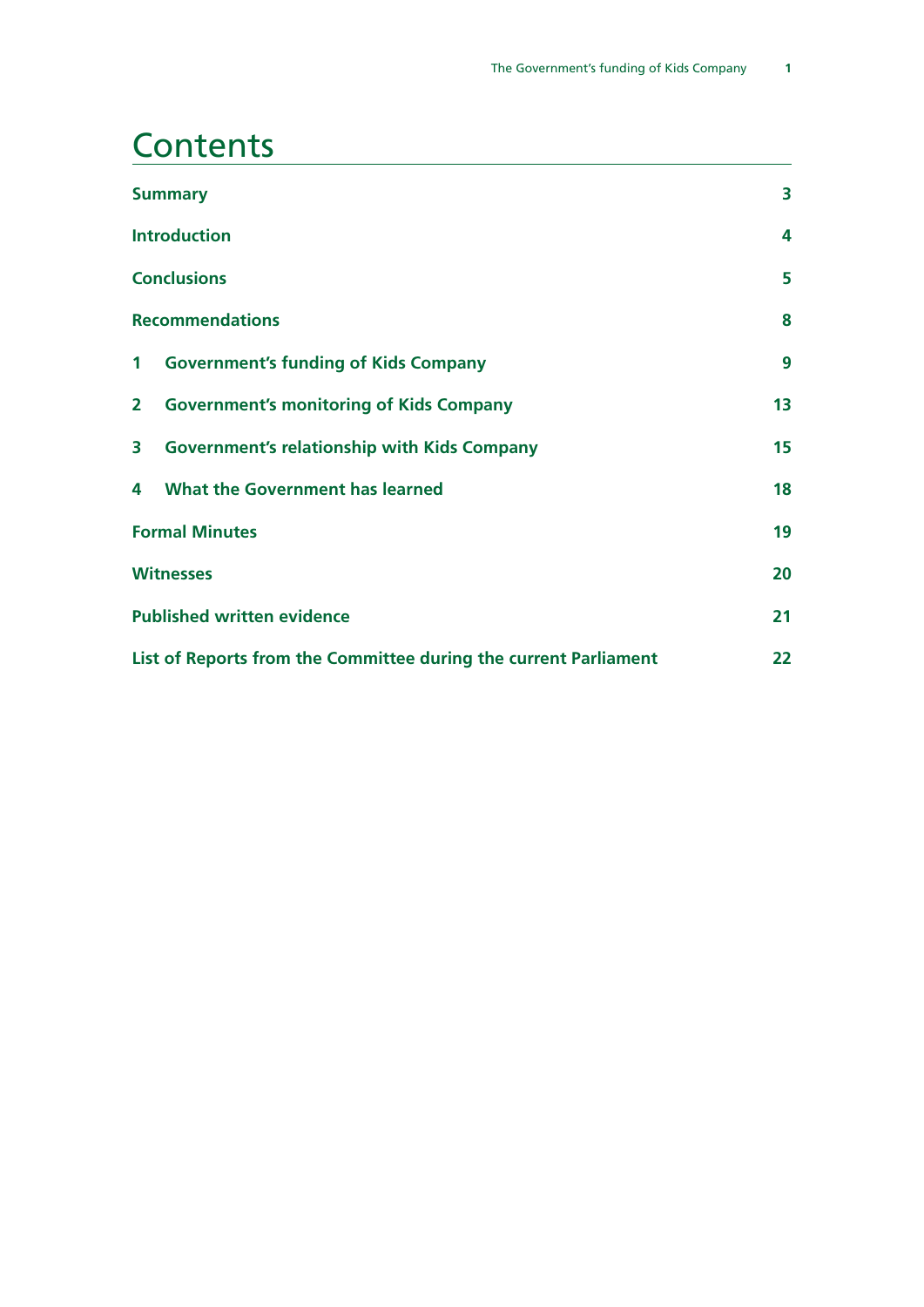### **Contents**

|                                                                  | <b>Summary</b>                                     | 3  |
|------------------------------------------------------------------|----------------------------------------------------|----|
|                                                                  | <b>Introduction</b>                                | 4  |
|                                                                  | <b>Conclusions</b>                                 | 5  |
| <b>Recommendations</b>                                           |                                                    | 8  |
| $\mathbf 1$                                                      | <b>Government's funding of Kids Company</b>        | 9  |
| $\overline{2}$                                                   | <b>Government's monitoring of Kids Company</b>     | 13 |
| 3                                                                | <b>Government's relationship with Kids Company</b> | 15 |
| 4                                                                | <b>What the Government has learned</b>             | 18 |
| <b>Formal Minutes</b>                                            |                                                    | 19 |
| <b>Witnesses</b>                                                 |                                                    | 20 |
| <b>Published written evidence</b>                                |                                                    | 21 |
| List of Reports from the Committee during the current Parliament |                                                    | 22 |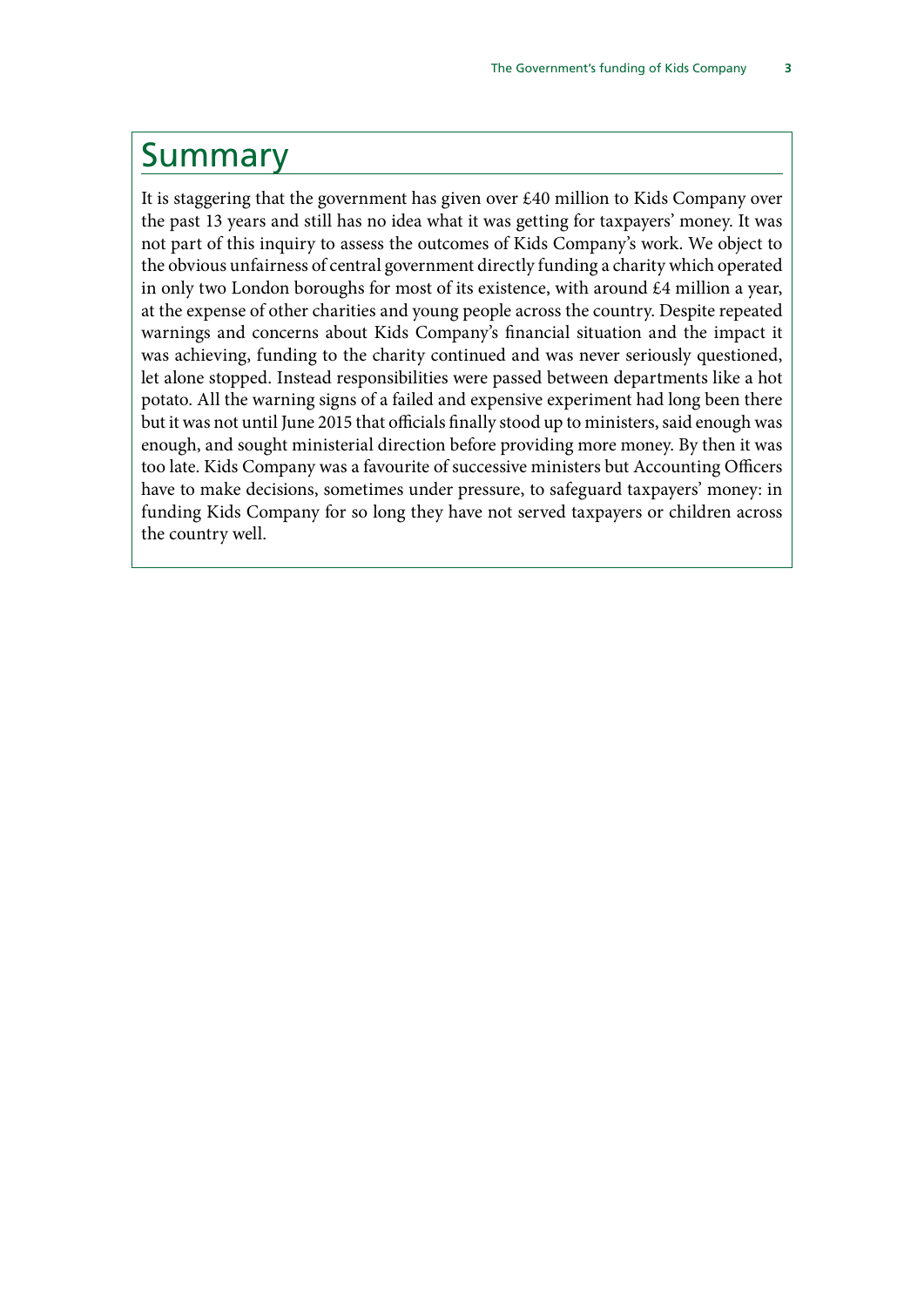### <span id="page-6-0"></span>Summary

It is staggering that the government has given over £40 million to Kids Company over the past 13 years and still has no idea what it was getting for taxpayers' money. It was not part of this inquiry to assess the outcomes of Kids Company's work. We object to the obvious unfairness of central government directly funding a charity which operated in only two London boroughs for most of its existence, with around £4 million a year, at the expense of other charities and young people across the country. Despite repeated warnings and concerns about Kids Company's financial situation and the impact it was achieving, funding to the charity continued and was never seriously questioned, let alone stopped. Instead responsibilities were passed between departments like a hot potato. All the warning signs of a failed and expensive experiment had long been there but it was not until June 2015 that officials finally stood up to ministers, said enough was enough, and sought ministerial direction before providing more money. By then it was too late. Kids Company was a favourite of successive ministers but Accounting Officers have to make decisions, sometimes under pressure, to safeguard taxpayers' money: in funding Kids Company for so long they have not served taxpayers or children across the country well.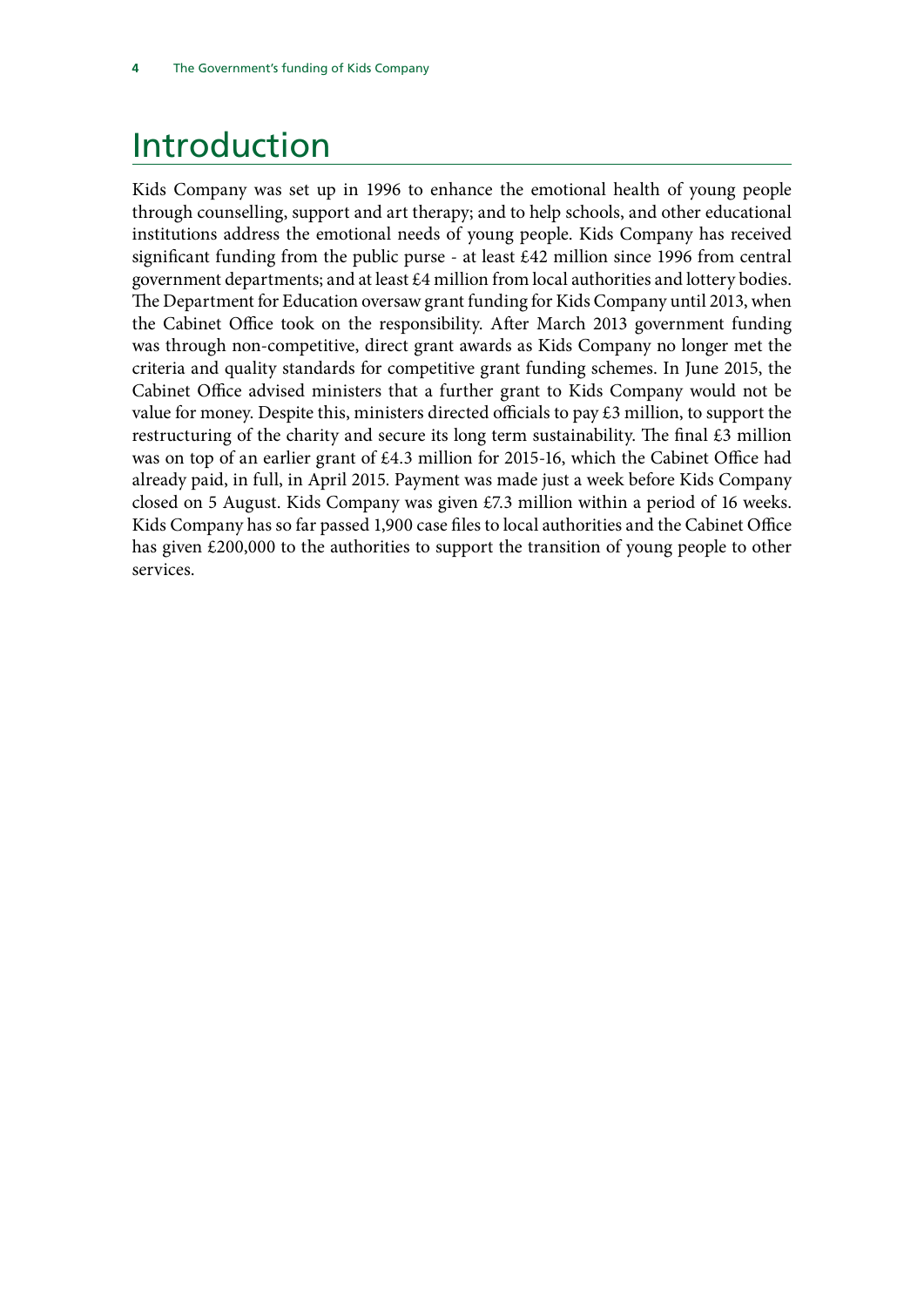## <span id="page-7-0"></span>Introduction

Kids Company was set up in 1996 to enhance the emotional health of young people through counselling, support and art therapy; and to help schools, and other educational institutions address the emotional needs of young people. Kids Company has received significant funding from the public purse - at least £42 million since 1996 from central government departments; and at least £4 million from local authorities and lottery bodies. The Department for Education oversaw grant funding for Kids Company until 2013, when the Cabinet Office took on the responsibility. After March 2013 government funding was through non-competitive, direct grant awards as Kids Company no longer met the criteria and quality standards for competitive grant funding schemes. In June 2015, the Cabinet Office advised ministers that a further grant to Kids Company would not be value for money. Despite this, ministers directed officials to pay £3 million, to support the restructuring of the charity and secure its long term sustainability. The final  $\pounds 3$  million was on top of an earlier grant of £4.3 million for 2015-16, which the Cabinet Office had already paid, in full, in April 2015. Payment was made just a week before Kids Company closed on 5 August. Kids Company was given £7.3 million within a period of 16 weeks. Kids Company has so far passed 1,900 case files to local authorities and the Cabinet Office has given £200,000 to the authorities to support the transition of young people to other services.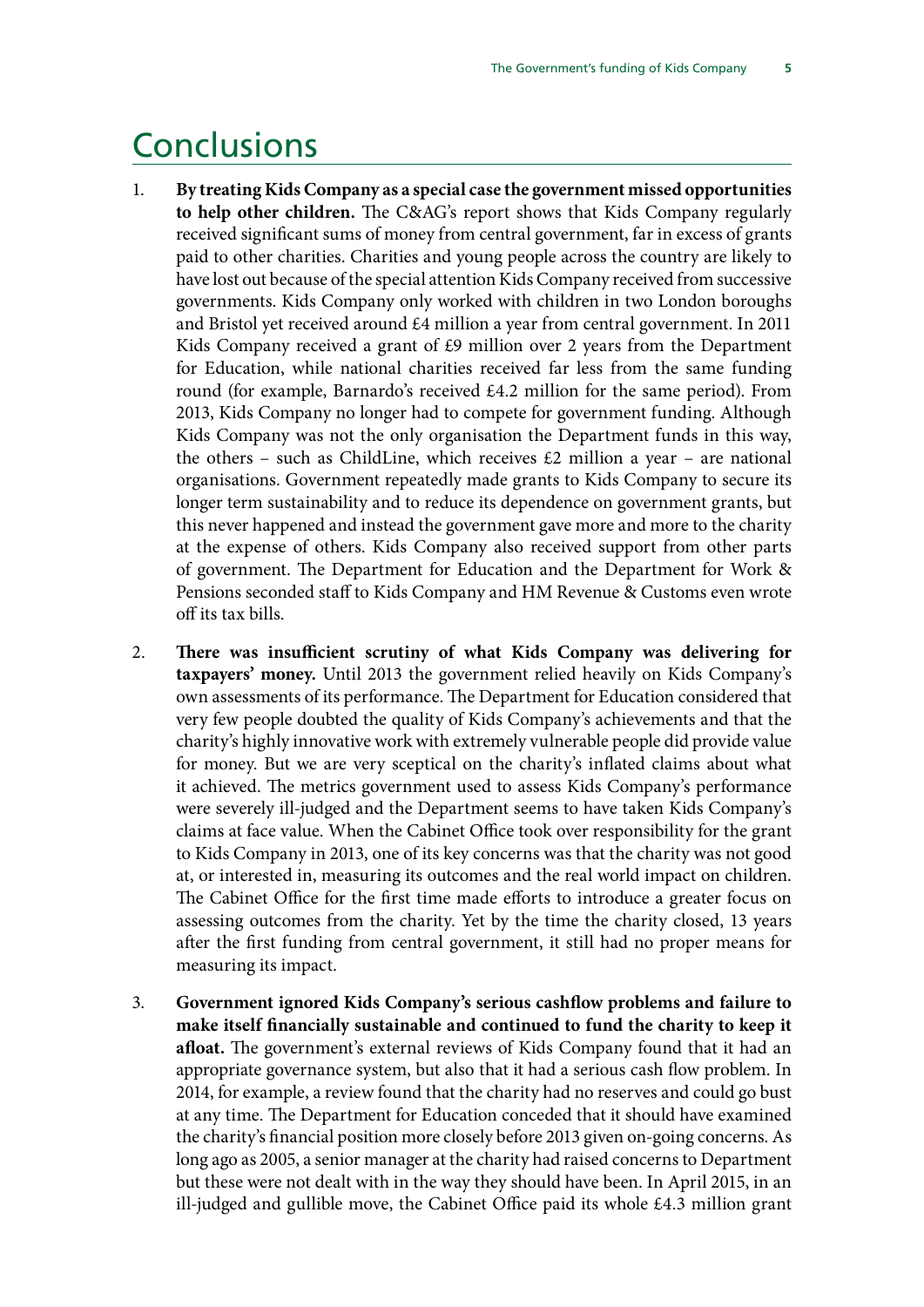### <span id="page-8-0"></span>**Conclusions**

- 1. **By treating Kids Company as a special case the government missed opportunities to help other children.** The C&AG's report shows that Kids Company regularly received significant sums of money from central government, far in excess of grants paid to other charities. Charities and young people across the country are likely to have lost out because of the special attention Kids Company received from successive governments. Kids Company only worked with children in two London boroughs and Bristol yet received around £4 million a year from central government. In 2011 Kids Company received a grant of £9 million over 2 years from the Department for Education, while national charities received far less from the same funding round (for example, Barnardo's received £4.2 million for the same period). From 2013, Kids Company no longer had to compete for government funding. Although Kids Company was not the only organisation the Department funds in this way, the others – such as ChildLine, which receives  $£2$  million a year – are national organisations. Government repeatedly made grants to Kids Company to secure its longer term sustainability and to reduce its dependence on government grants, but this never happened and instead the government gave more and more to the charity at the expense of others. Kids Company also received support from other parts of government. The Department for Education and the Department for Work & Pensions seconded staff to Kids Company and HM Revenue & Customs even wrote off its tax bills.
- 2. **There was insufficient scrutiny of what Kids Company was delivering for taxpayers' money.** Until 2013 the government relied heavily on Kids Company's own assessments of its performance. The Department for Education considered that very few people doubted the quality of Kids Company's achievements and that the charity's highly innovative work with extremely vulnerable people did provide value for money. But we are very sceptical on the charity's inflated claims about what it achieved. The metrics government used to assess Kids Company's performance were severely ill-judged and the Department seems to have taken Kids Company's claims at face value. When the Cabinet Office took over responsibility for the grant to Kids Company in 2013, one of its key concerns was that the charity was not good at, or interested in, measuring its outcomes and the real world impact on children. The Cabinet Office for the first time made efforts to introduce a greater focus on assessing outcomes from the charity. Yet by the time the charity closed, 13 years after the first funding from central government, it still had no proper means for measuring its impact.
- 3. **Government ignored Kids Company's serious cashflow problems and failure to make itself financially sustainable and continued to fund the charity to keep it afloat.** The government's external reviews of Kids Company found that it had an appropriate governance system, but also that it had a serious cash flow problem. In 2014, for example, a review found that the charity had no reserves and could go bust at any time. The Department for Education conceded that it should have examined the charity's financial position more closely before 2013 given on-going concerns. As long ago as 2005, a senior manager at the charity had raised concerns to Department but these were not dealt with in the way they should have been. In April 2015, in an ill-judged and gullible move, the Cabinet Office paid its whole £4.3 million grant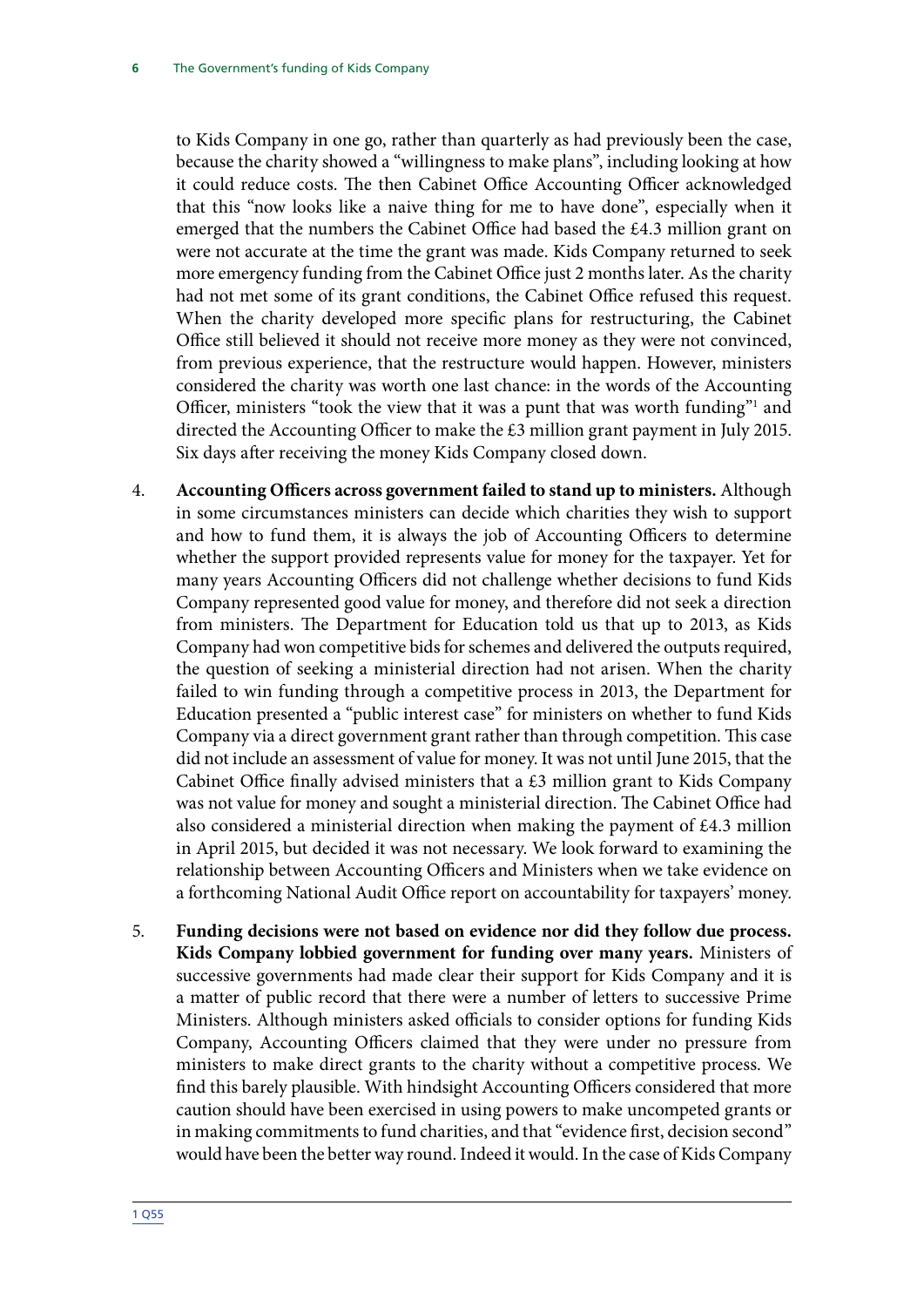to Kids Company in one go, rather than quarterly as had previously been the case, because the charity showed a "willingness to make plans", including looking at how it could reduce costs. The then Cabinet Office Accounting Officer acknowledged that this "now looks like a naive thing for me to have done", especially when it emerged that the numbers the Cabinet Office had based the £4.3 million grant on were not accurate at the time the grant was made. Kids Company returned to seek more emergency funding from the Cabinet Office just 2 months later. As the charity had not met some of its grant conditions, the Cabinet Office refused this request. When the charity developed more specific plans for restructuring, the Cabinet Office still believed it should not receive more money as they were not convinced, from previous experience, that the restructure would happen. However, ministers considered the charity was worth one last chance: in the words of the Accounting Officer, ministers "took the view that it was a punt that was worth funding"<sup>1</sup> and directed the Accounting Officer to make the £3 million grant payment in July 2015. Six days after receiving the money Kids Company closed down.

- 4. **Accounting Officers across government failed to stand up to ministers.** Although in some circumstances ministers can decide which charities they wish to support and how to fund them, it is always the job of Accounting Officers to determine whether the support provided represents value for money for the taxpayer. Yet for many years Accounting Officers did not challenge whether decisions to fund Kids Company represented good value for money, and therefore did not seek a direction from ministers. The Department for Education told us that up to 2013, as Kids Company had won competitive bids for schemes and delivered the outputs required, the question of seeking a ministerial direction had not arisen. When the charity failed to win funding through a competitive process in 2013, the Department for Education presented a "public interest case" for ministers on whether to fund Kids Company via a direct government grant rather than through competition. This case did not include an assessment of value for money. It was not until June 2015, that the Cabinet Office finally advised ministers that a £3 million grant to Kids Company was not value for money and sought a ministerial direction. The Cabinet Office had also considered a ministerial direction when making the payment of £4.3 million in April 2015, but decided it was not necessary. We look forward to examining the relationship between Accounting Officers and Ministers when we take evidence on a forthcoming National Audit Office report on accountability for taxpayers' money.
- 5. **Funding decisions were not based on evidence nor did they follow due process. Kids Company lobbied government for funding over many years.** Ministers of successive governments had made clear their support for Kids Company and it is a matter of public record that there were a number of letters to successive Prime Ministers. Although ministers asked officials to consider options for funding Kids Company, Accounting Officers claimed that they were under no pressure from ministers to make direct grants to the charity without a competitive process. We find this barely plausible. With hindsight Accounting Officers considered that more caution should have been exercised in using powers to make uncompeted grants or in making commitments to fund charities, and that "evidence first, decision second" would have been the better way round. Indeed it would. In the case of Kids Company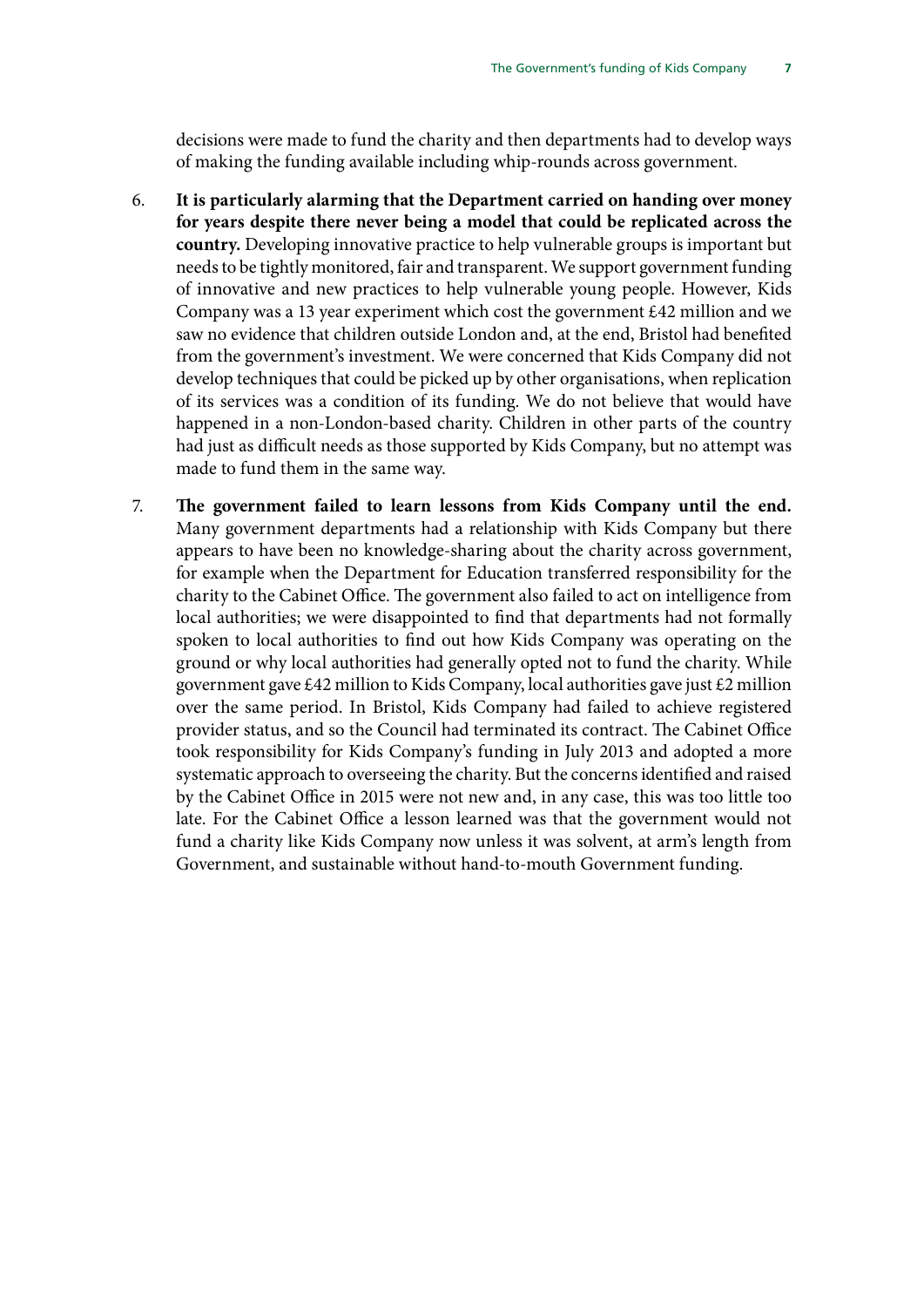decisions were made to fund the charity and then departments had to develop ways of making the funding available including whip-rounds across government.

- 6. **It is particularly alarming that the Department carried on handing over money for years despite there never being a model that could be replicated across the country.** Developing innovative practice to help vulnerable groups is important but needs to be tightly monitored, fair and transparent. We support government funding of innovative and new practices to help vulnerable young people. However, Kids Company was a 13 year experiment which cost the government £42 million and we saw no evidence that children outside London and, at the end, Bristol had benefited from the government's investment. We were concerned that Kids Company did not develop techniques that could be picked up by other organisations, when replication of its services was a condition of its funding. We do not believe that would have happened in a non-London-based charity. Children in other parts of the country had just as difficult needs as those supported by Kids Company, but no attempt was made to fund them in the same way.
- 7. **The government failed to learn lessons from Kids Company until the end.** Many government departments had a relationship with Kids Company but there appears to have been no knowledge-sharing about the charity across government, for example when the Department for Education transferred responsibility for the charity to the Cabinet Office. The government also failed to act on intelligence from local authorities; we were disappointed to find that departments had not formally spoken to local authorities to find out how Kids Company was operating on the ground or why local authorities had generally opted not to fund the charity. While government gave £42 million to Kids Company, local authorities gave just £2 million over the same period. In Bristol, Kids Company had failed to achieve registered provider status, and so the Council had terminated its contract. The Cabinet Office took responsibility for Kids Company's funding in July 2013 and adopted a more systematic approach to overseeing the charity. But the concerns identified and raised by the Cabinet Office in 2015 were not new and, in any case, this was too little too late. For the Cabinet Office a lesson learned was that the government would not fund a charity like Kids Company now unless it was solvent, at arm's length from Government, and sustainable without hand-to-mouth Government funding.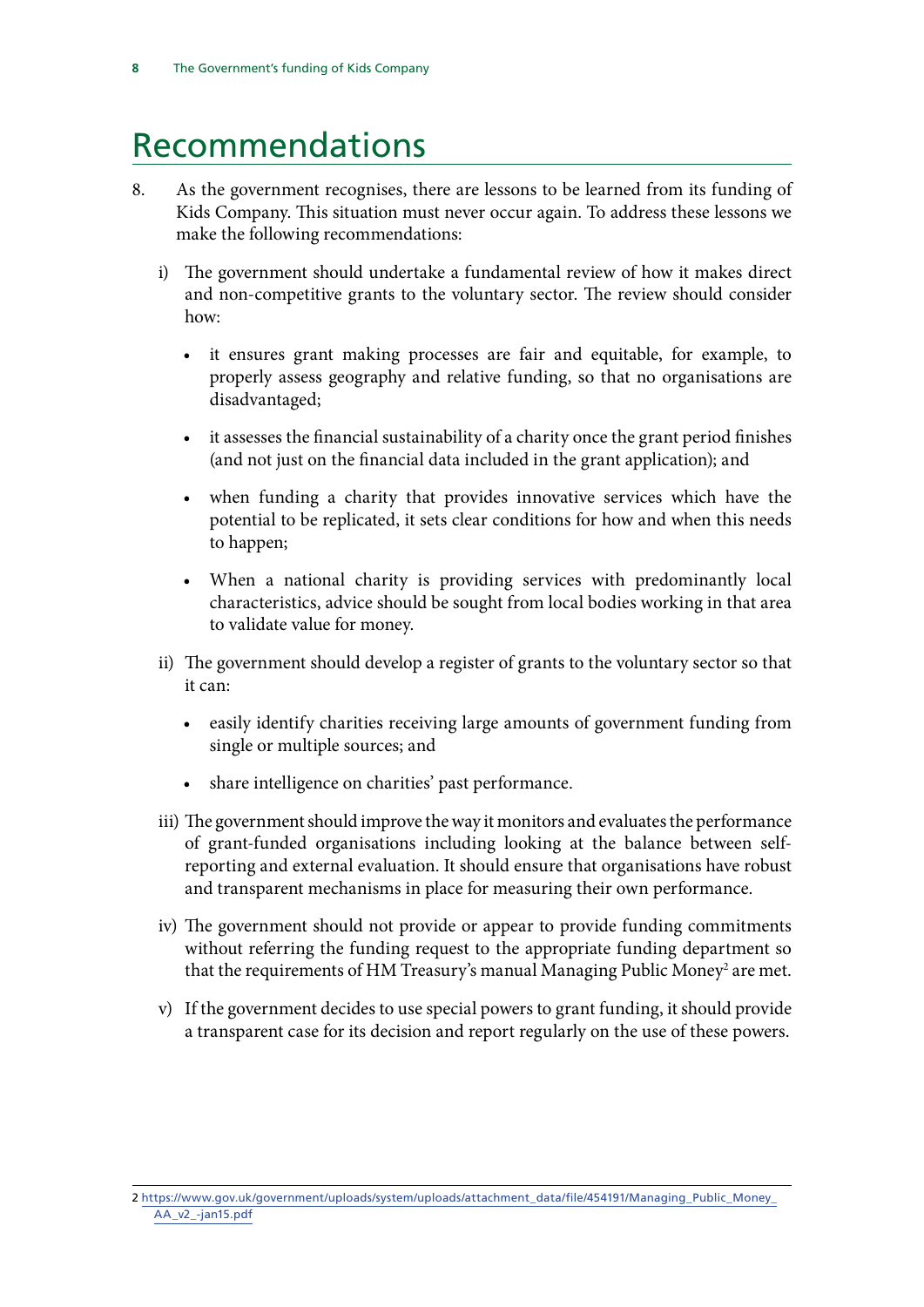## <span id="page-11-0"></span>Recommendations

- 8. As the government recognises, there are lessons to be learned from its funding of Kids Company. This situation must never occur again. To address these lessons we make the following recommendations:
	- i) The government should undertake a fundamental review of how it makes direct and non-competitive grants to the voluntary sector. The review should consider how:
		- it ensures grant making processes are fair and equitable, for example, to properly assess geography and relative funding, so that no organisations are disadvantaged;
		- it assesses the financial sustainability of a charity once the grant period finishes (and not just on the financial data included in the grant application); and
		- when funding a charity that provides innovative services which have the potential to be replicated, it sets clear conditions for how and when this needs to happen;
		- When a national charity is providing services with predominantly local characteristics, advice should be sought from local bodies working in that area to validate value for money.
	- ii) The government should develop a register of grants to the voluntary sector so that it can:
		- easily identify charities receiving large amounts of government funding from single or multiple sources; and
		- share intelligence on charities' past performance.
	- iii) The government should improve the way it monitors and evaluates the performance of grant-funded organisations including looking at the balance between selfreporting and external evaluation. It should ensure that organisations have robust and transparent mechanisms in place for measuring their own performance.
	- iv) The government should not provide or appear to provide funding commitments without referring the funding request to the appropriate funding department so that the requirements of HM Treasury's manual Managing Public Money<sup>2</sup> are met.
	- v) If the government decides to use special powers to grant funding, it should provide a transparent case for its decision and report regularly on the use of these powers.

<sup>2</sup> [https://www.gov.uk/government/uploads/system/uploads/attachment\\_data/file/454191/Managing\\_Public\\_Money\\_](https://www.gov.uk/government/uploads/system/uploads/attachment_data/file/454191/Managing_Public_Money_AA_v2_-jan15.pdf) [AA\\_v2\\_-jan15.pdf](https://www.gov.uk/government/uploads/system/uploads/attachment_data/file/454191/Managing_Public_Money_AA_v2_-jan15.pdf)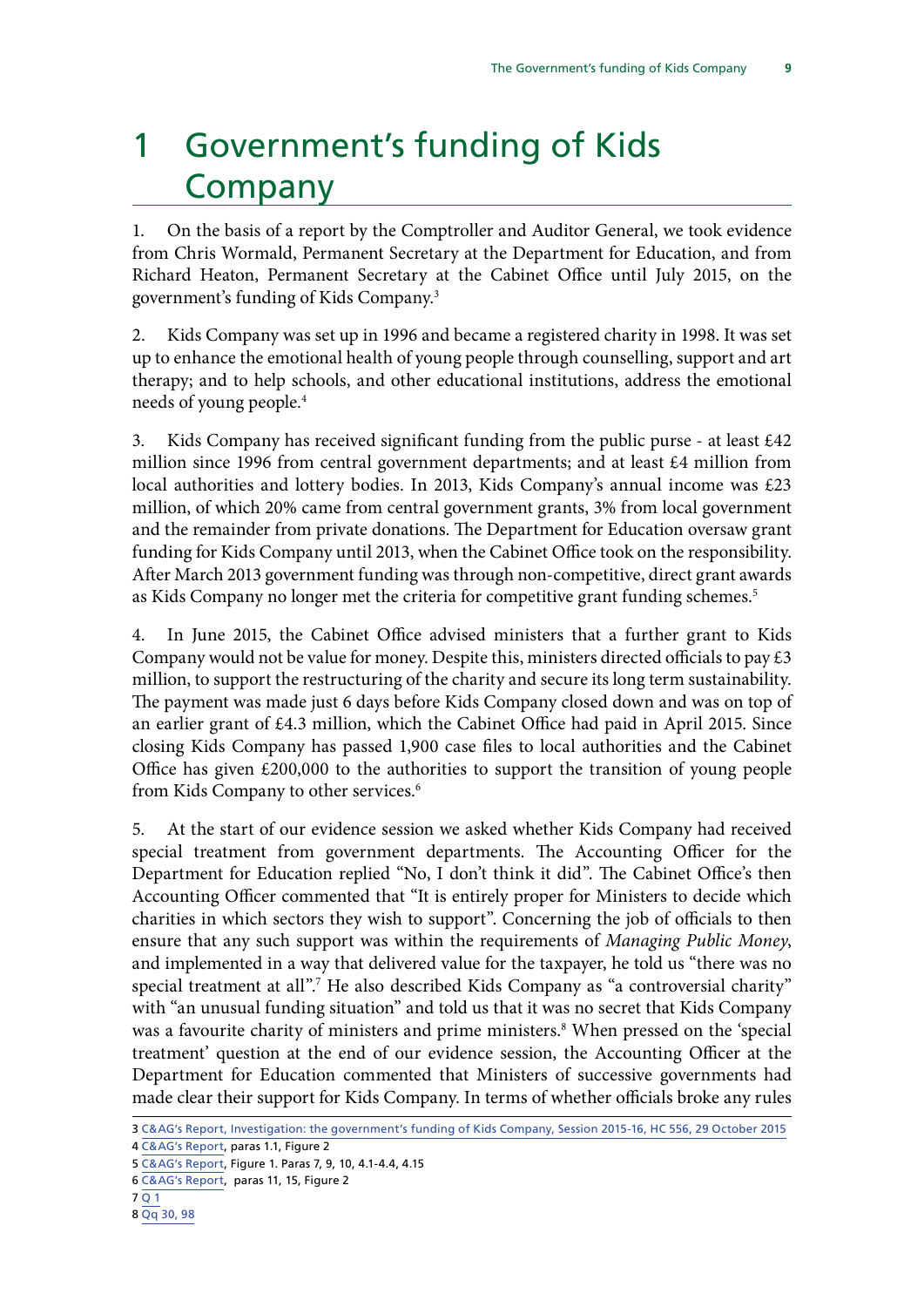# <span id="page-12-0"></span>1 Government's funding of Kids Company

1. On the basis of a report by the Comptroller and Auditor General, we took evidence from Chris Wormald, Permanent Secretary at the Department for Education, and from Richard Heaton, Permanent Secretary at the Cabinet Office until July 2015, on the government's funding of Kids Company.3

2. Kids Company was set up in 1996 and became a registered charity in 1998. It was set up to enhance the emotional health of young people through counselling, support and art therapy; and to help schools, and other educational institutions, address the emotional needs of young people.4

3. Kids Company has received significant funding from the public purse - at least £42 million since 1996 from central government departments; and at least £4 million from local authorities and lottery bodies. In 2013, Kids Company's annual income was £23 million, of which 20% came from central government grants, 3% from local government and the remainder from private donations. The Department for Education oversaw grant funding for Kids Company until 2013, when the Cabinet Office took on the responsibility. After March 2013 government funding was through non-competitive, direct grant awards as Kids Company no longer met the criteria for competitive grant funding schemes.<sup>5</sup>

4. In June 2015, the Cabinet Office advised ministers that a further grant to Kids Company would not be value for money. Despite this, ministers directed officials to pay  $\pounds 3$ million, to support the restructuring of the charity and secure its long term sustainability. The payment was made just 6 days before Kids Company closed down and was on top of an earlier grant of £4.3 million, which the Cabinet Office had paid in April 2015. Since closing Kids Company has passed 1,900 case files to local authorities and the Cabinet Office has given £200,000 to the authorities to support the transition of young people from Kids Company to other services.<sup>6</sup>

5. At the start of our evidence session we asked whether Kids Company had received special treatment from government departments. The Accounting Officer for the Department for Education replied "No, I don't think it did". The Cabinet Office's then Accounting Officer commented that "It is entirely proper for Ministers to decide which charities in which sectors they wish to support". Concerning the job of officials to then ensure that any such support was within the requirements of *Managing Public Money*, and implemented in a way that delivered value for the taxpayer, he told us "there was no special treatment at all".7 He also described Kids Company as "a controversial charity" with "an unusual funding situation" and told us that it was no secret that Kids Company was a favourite charity of ministers and prime ministers.<sup>8</sup> When pressed on the 'special treatment' question at the end of our evidence session, the Accounting Officer at the Department for Education commented that Ministers of successive governments had made clear their support for Kids Company. In terms of whether officials broke any rules

<sup>3</sup> [C&AG's Report, Investigation: the government's funding of Kids Company, Session 2015-16, HC 556, 29 October 2015](https://www.nao.org.uk/wp-content/uploads/2015/10/Investigation-the-governments-funding-of-Kids-Company.pdf)

<sup>4</sup> [C&AG's Report](https://www.nao.org.uk/wp-content/uploads/2015/10/Investigation-the-governments-funding-of-Kids-Company.pdf), paras 1.1, Figure 2

<sup>5</sup> [C&AG's Report](https://www.nao.org.uk/wp-content/uploads/2015/10/Investigation-the-governments-funding-of-Kids-Company.pdf), Figure 1. Paras 7, 9, 10, 4.1-4.4, 4.15

<sup>6</sup> [C&AG's Report](https://www.nao.org.uk/wp-content/uploads/2015/10/Investigation-the-governments-funding-of-Kids-Company.pdf), paras 11, 15, Figure 2

<sup>7</sup> [Q 1](http://data.parliament.uk/writtenevidence/committeeevidence.svc/evidencedocument/public-accounts-committee/kids-company/oral/24013.html)

<sup>8</sup> [Qq 30, 98](http://data.parliament.uk/writtenevidence/committeeevidence.svc/evidencedocument/public-accounts-committee/kids-company/oral/24013.html)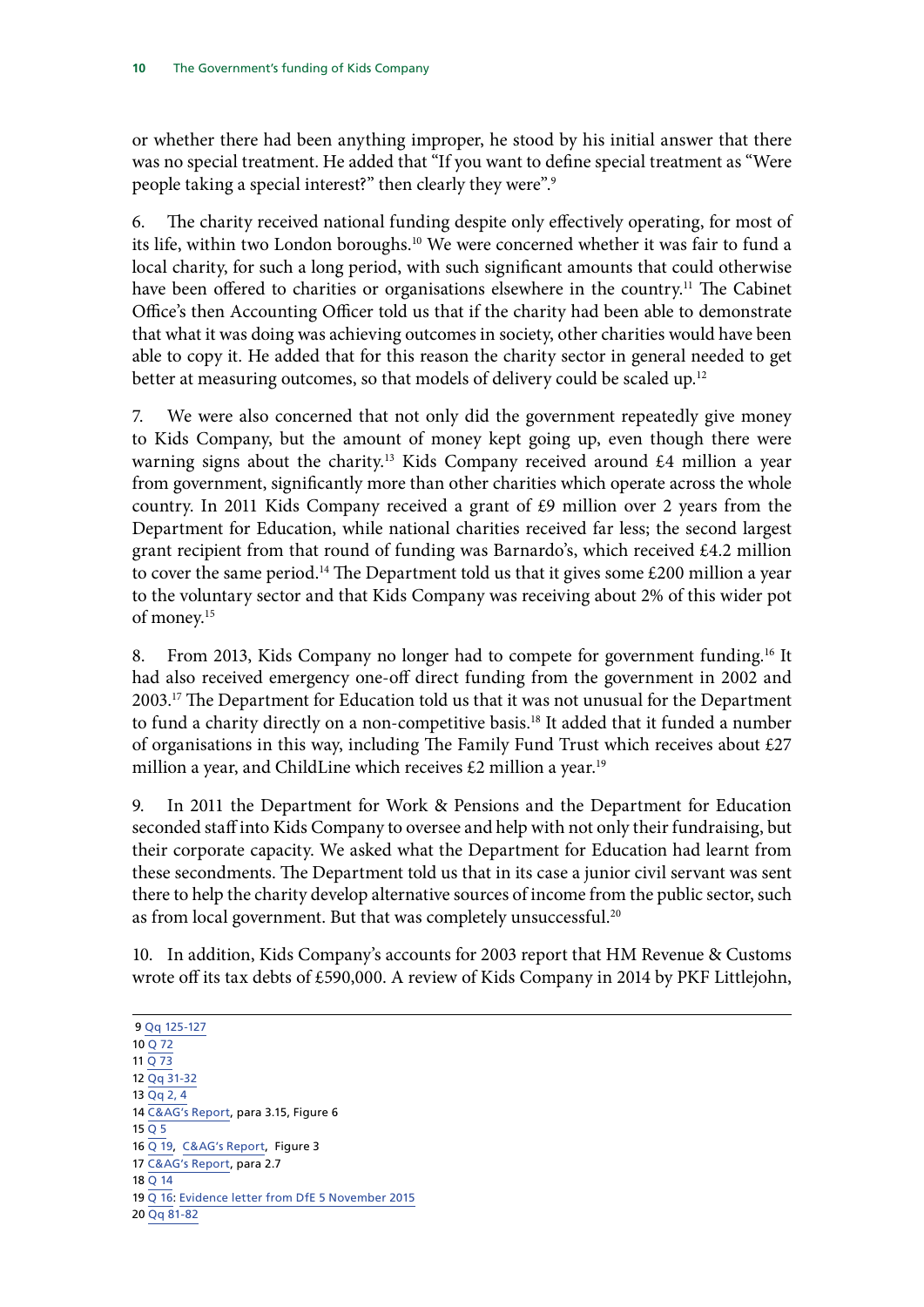or whether there had been anything improper, he stood by his initial answer that there was no special treatment. He added that "If you want to define special treatment as "Were people taking a special interest?" then clearly they were".<sup>9</sup>

6. The charity received national funding despite only effectively operating, for most of its life, within two London boroughs.<sup>10</sup> We were concerned whether it was fair to fund a local charity, for such a long period, with such significant amounts that could otherwise have been offered to charities or organisations elsewhere in the country.<sup>11</sup> The Cabinet Office's then Accounting Officer told us that if the charity had been able to demonstrate that what it was doing was achieving outcomes in society, other charities would have been able to copy it. He added that for this reason the charity sector in general needed to get better at measuring outcomes, so that models of delivery could be scaled up.<sup>12</sup>

7. We were also concerned that not only did the government repeatedly give money to Kids Company, but the amount of money kept going up, even though there were warning signs about the charity.<sup>13</sup> Kids Company received around  $\pounds$ 4 million a year from government, significantly more than other charities which operate across the whole country. In 2011 Kids Company received a grant of £9 million over 2 years from the Department for Education, while national charities received far less; the second largest grant recipient from that round of funding was Barnardo's, which received £4.2 million to cover the same period.<sup>14</sup> The Department told us that it gives some  $£200$  million a year to the voluntary sector and that Kids Company was receiving about 2% of this wider pot of money.15

8. From 2013, Kids Company no longer had to compete for government funding.<sup>16</sup> It had also received emergency one-off direct funding from the government in 2002 and 2003.<sup>17</sup> The Department for Education told us that it was not unusual for the Department to fund a charity directly on a non-competitive basis.<sup>18</sup> It added that it funded a number of organisations in this way, including The Family Fund Trust which receives about  $£27$ million a year, and ChildLine which receives  $£2$  million a year.<sup>19</sup>

9. In 2011 the Department for Work & Pensions and the Department for Education seconded staff into Kids Company to oversee and help with not only their fundraising, but their corporate capacity. We asked what the Department for Education had learnt from these secondments. The Department told us that in its case a junior civil servant was sent there to help the charity develop alternative sources of income from the public sector, such as from local government. But that was completely unsuccessful.<sup>20</sup>

10. In addition, Kids Company's accounts for 2003 report that HM Revenue & Customs wrote off its tax debts of £590,000. A review of Kids Company in 2014 by PKF Littlejohn,

9 [Qq 125-127](http://data.parliament.uk/writtenevidence/committeeevidence.svc/evidencedocument/public-accounts-committee/kids-company/oral/24013.html) 10 [Q 72](http://data.parliament.uk/writtenevidence/committeeevidence.svc/evidencedocument/public-accounts-committee/kids-company/oral/24013.html) 11 [Q 73](http://data.parliament.uk/writtenevidence/committeeevidence.svc/evidencedocument/public-accounts-committee/kids-company/oral/24013.html) 12 [Qq 31-32](http://data.parliament.uk/writtenevidence/committeeevidence.svc/evidencedocument/public-accounts-committee/kids-company/oral/24013.html) 13 [Qq 2, 4](http://data.parliament.uk/writtenevidence/committeeevidence.svc/evidencedocument/public-accounts-committee/kids-company/oral/24013.html) 14 [C&AG's Report](https://www.nao.org.uk/wp-content/uploads/2015/10/Investigation-the-governments-funding-of-Kids-Company.pdf), para 3.15, Figure 6  $15$  Q  $5$ 16 [Q 19](http://data.parliament.uk/writtenevidence/committeeevidence.svc/evidencedocument/public-accounts-committee/kids-company/oral/24013.html), [C&AG's Report,](https://www.nao.org.uk/wp-content/uploads/2015/10/Investigation-the-governments-funding-of-Kids-Company.pdf) Figure 3 17 [C&AG's Report](https://www.nao.org.uk/wp-content/uploads/2015/10/Investigation-the-governments-funding-of-Kids-Company.pdf), para 2.7 18 [Q 14](http://data.parliament.uk/writtenevidence/committeeevidence.svc/evidencedocument/public-accounts-committee/kids-company/oral/24013.html) 19 [Q 16](http://data.parliament.uk/writtenevidence/committeeevidence.svc/evidencedocument/public-accounts-committee/kids-company/oral/24013.html): [Evidence letter from DfE 5 November 2015](http://data.parliament.uk/writtenevidence/committeeevidence.svc/evidencedocument/public-accounts-committee/kids-company/written/24309.pdf) 20 [Qq 81-82](http://data.parliament.uk/writtenevidence/committeeevidence.svc/evidencedocument/public-accounts-committee/kids-company/oral/24013.html)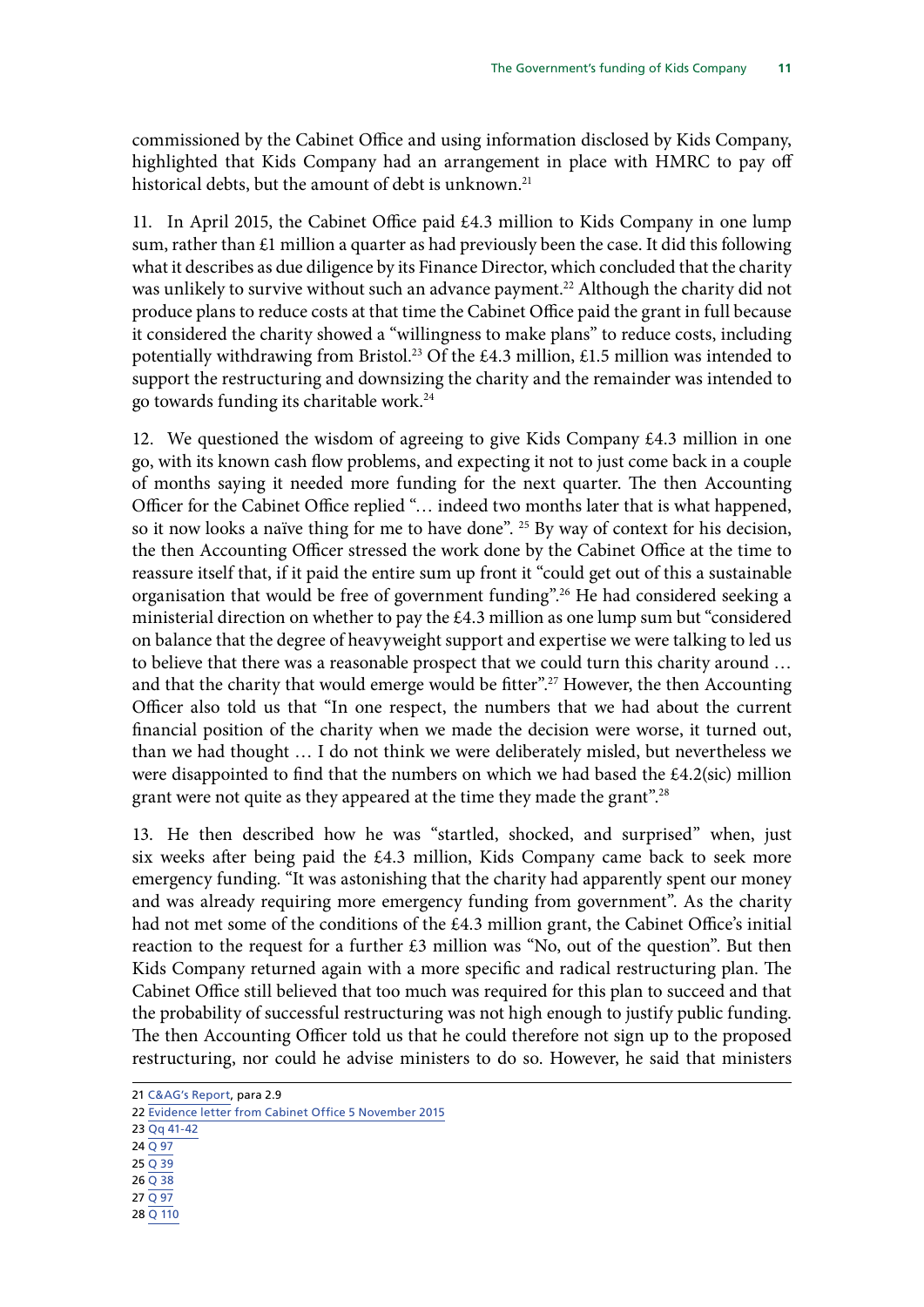commissioned by the Cabinet Office and using information disclosed by Kids Company, highlighted that Kids Company had an arrangement in place with HMRC to pay off historical debts, but the amount of debt is unknown.<sup>21</sup>

11. In April 2015, the Cabinet Office paid £4.3 million to Kids Company in one lump sum, rather than £1 million a quarter as had previously been the case. It did this following what it describes as due diligence by its Finance Director, which concluded that the charity was unlikely to survive without such an advance payment.<sup>22</sup> Although the charity did not produce plans to reduce costs at that time the Cabinet Office paid the grant in full because it considered the charity showed a "willingness to make plans" to reduce costs, including potentially withdrawing from Bristol.<sup>23</sup> Of the £4.3 million, £1.5 million was intended to support the restructuring and downsizing the charity and the remainder was intended to go towards funding its charitable work.24

12. We questioned the wisdom of agreeing to give Kids Company  $\text{\pounds}4.3$  million in one go, with its known cash flow problems, and expecting it not to just come back in a couple of months saying it needed more funding for the next quarter. The then Accounting Officer for the Cabinet Office replied "… indeed two months later that is what happened, so it now looks a naïve thing for me to have done". 25 By way of context for his decision, the then Accounting Officer stressed the work done by the Cabinet Office at the time to reassure itself that, if it paid the entire sum up front it "could get out of this a sustainable organisation that would be free of government funding".<sup>26</sup> He had considered seeking a ministerial direction on whether to pay the £4.3 million as one lump sum but "considered on balance that the degree of heavyweight support and expertise we were talking to led us to believe that there was a reasonable prospect that we could turn this charity around … and that the charity that would emerge would be fitter".<sup>27</sup> However, the then Accounting Officer also told us that "In one respect, the numbers that we had about the current financial position of the charity when we made the decision were worse, it turned out, than we had thought … I do not think we were deliberately misled, but nevertheless we were disappointed to find that the numbers on which we had based the £4.2(sic) million grant were not quite as they appeared at the time they made the grant".28

13. He then described how he was "startled, shocked, and surprised" when, just six weeks after being paid the £4.3 million, Kids Company came back to seek more emergency funding. "It was astonishing that the charity had apparently spent our money and was already requiring more emergency funding from government". As the charity had not met some of the conditions of the £4.3 million grant, the Cabinet Office's initial reaction to the request for a further £3 million was "No, out of the question". But then Kids Company returned again with a more specific and radical restructuring plan. The Cabinet Office still believed that too much was required for this plan to succeed and that the probability of successful restructuring was not high enough to justify public funding. The then Accounting Officer told us that he could therefore not sign up to the proposed restructuring, nor could he advise ministers to do so. However, he said that ministers

- 24 [Q 97](http://data.parliament.uk/writtenevidence/committeeevidence.svc/evidencedocument/public-accounts-committee/kids-company/oral/24013.html)
- 25 [Q 39](http://data.parliament.uk/writtenevidence/committeeevidence.svc/evidencedocument/public-accounts-committee/kids-company/oral/24013.html)
- 26 [Q 38](http://data.parliament.uk/writtenevidence/committeeevidence.svc/evidencedocument/public-accounts-committee/kids-company/oral/24013.html)
- 27 [Q 97](http://data.parliament.uk/writtenevidence/committeeevidence.svc/evidencedocument/public-accounts-committee/kids-company/oral/24013.html)
- 28 [Q 110](http://data.parliament.uk/writtenevidence/committeeevidence.svc/evidencedocument/public-accounts-committee/kids-company/oral/24013.html)

<sup>21</sup> [C&AG's Report,](https://www.nao.org.uk/wp-content/uploads/2015/10/Investigation-the-governments-funding-of-Kids-Company.pdf) para 2.9

<sup>22</sup> [Evidence letter from Cabinet Office 5 November 2015](http://data.parliament.uk/writtenevidence/committeeevidence.svc/evidencedocument/public-accounts-committee/kids-company/written/24310.pdf)

<sup>23</sup> [Qq 41-42](http://data.parliament.uk/writtenevidence/committeeevidence.svc/evidencedocument/public-accounts-committee/kids-company/oral/24013.html)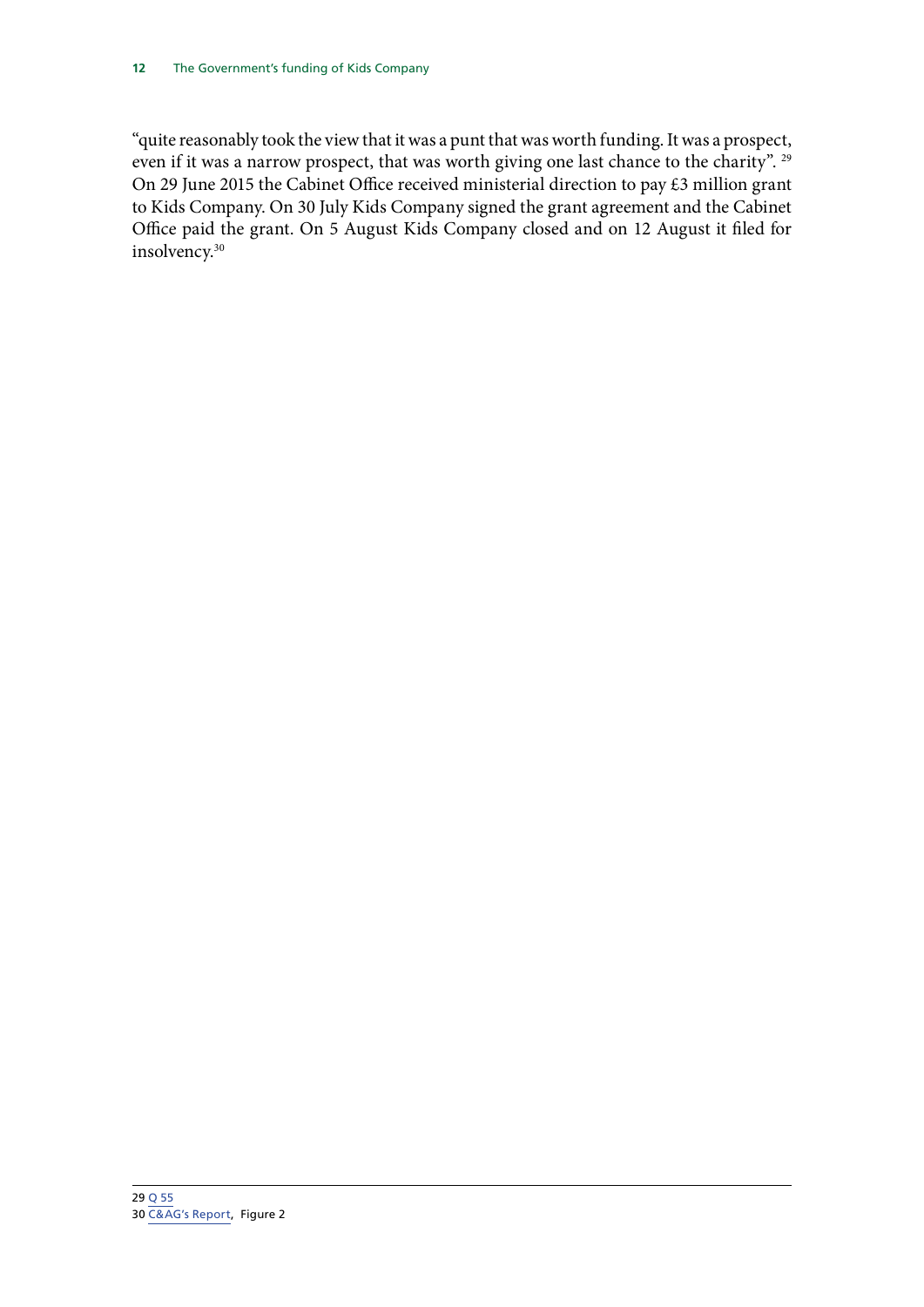"quite reasonably took the view that it was a punt that was worth funding. It was a prospect, even if it was a narrow prospect, that was worth giving one last chance to the charity". <sup>29</sup> On 29 June 2015 the Cabinet Office received ministerial direction to pay £3 million grant to Kids Company. On 30 July Kids Company signed the grant agreement and the Cabinet Office paid the grant. On 5 August Kids Company closed and on 12 August it filed for insolvency.30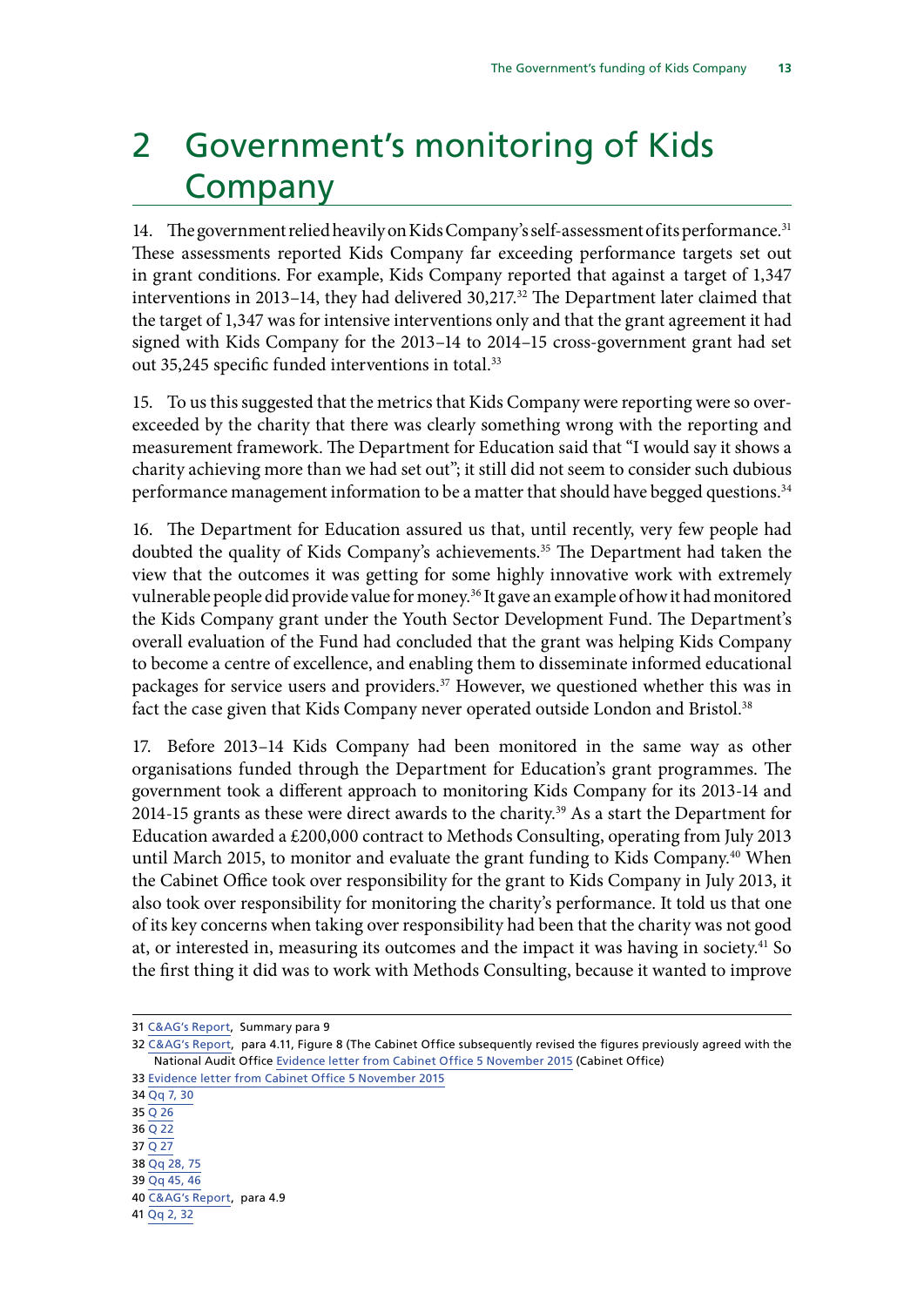# <span id="page-16-0"></span>2 Government's monitoring of Kids Company

14. The government relied heavily on Kids Company's self-assessment of its performance.<sup>31</sup> These assessments reported Kids Company far exceeding performance targets set out in grant conditions. For example, Kids Company reported that against a target of 1,347 interventions in 2013–14, they had delivered 30,217.32 The Department later claimed that the target of 1,347 was for intensive interventions only and that the grant agreement it had signed with Kids Company for the 2013–14 to 2014–15 cross-government grant had set out 35,245 specific funded interventions in total.<sup>33</sup>

15. To us this suggested that the metrics that Kids Company were reporting were so overexceeded by the charity that there was clearly something wrong with the reporting and measurement framework. The Department for Education said that "I would say it shows a charity achieving more than we had set out"; it still did not seem to consider such dubious performance management information to be a matter that should have begged questions.<sup>34</sup>

16. The Department for Education assured us that, until recently, very few people had doubted the quality of Kids Company's achievements.<sup>35</sup> The Department had taken the view that the outcomes it was getting for some highly innovative work with extremely vulnerable people did provide value for money.<sup>36</sup> It gave an example of how it had monitored the Kids Company grant under the Youth Sector Development Fund. The Department's overall evaluation of the Fund had concluded that the grant was helping Kids Company to become a centre of excellence, and enabling them to disseminate informed educational packages for service users and providers.<sup>37</sup> However, we questioned whether this was in fact the case given that Kids Company never operated outside London and Bristol.<sup>38</sup>

17. Before 2013–14 Kids Company had been monitored in the same way as other organisations funded through the Department for Education's grant programmes. The government took a different approach to monitoring Kids Company for its 2013-14 and 2014-15 grants as these were direct awards to the charity.<sup>39</sup> As a start the Department for Education awarded a £200,000 contract to Methods Consulting, operating from July 2013 until March 2015, to monitor and evaluate the grant funding to Kids Company.<sup>40</sup> When the Cabinet Office took over responsibility for the grant to Kids Company in July 2013, it also took over responsibility for monitoring the charity's performance. It told us that one of its key concerns when taking over responsibility had been that the charity was not good at, or interested in, measuring its outcomes and the impact it was having in society.<sup>41</sup> So the first thing it did was to work with Methods Consulting, because it wanted to improve

34 [Qq 7, 30](http://data.parliament.uk/writtenevidence/committeeevidence.svc/evidencedocument/public-accounts-committee/kids-company/oral/24013.html) 35 [Q 26](http://data.parliament.uk/writtenevidence/committeeevidence.svc/evidencedocument/public-accounts-committee/kids-company/oral/24013.html) 36 [Q 22](http://data.parliament.uk/writtenevidence/committeeevidence.svc/evidencedocument/public-accounts-committee/kids-company/oral/24013.html) 37 [Q 27](http://data.parliament.uk/writtenevidence/committeeevidence.svc/evidencedocument/public-accounts-committee/kids-company/oral/24013.html) 38 [Qq 28, 75](http://data.parliament.uk/writtenevidence/committeeevidence.svc/evidencedocument/public-accounts-committee/kids-company/oral/24013.html) 39 [Qq 45, 46](http://data.parliament.uk/writtenevidence/committeeevidence.svc/evidencedocument/public-accounts-committee/kids-company/oral/24013.html) 40 [C&AG's Report,](https://www.nao.org.uk/wp-content/uploads/2015/10/Investigation-the-governments-funding-of-Kids-Company.pdf) para 4.9

41 [Qq 2, 32](http://data.parliament.uk/writtenevidence/committeeevidence.svc/evidencedocument/public-accounts-committee/kids-company/oral/24013.html)

<sup>31</sup> [C&AG's Report,](https://www.nao.org.uk/wp-content/uploads/2015/10/Investigation-the-governments-funding-of-Kids-Company.pdf) Summary para 9

<sup>32</sup> [C&AG's Report](https://www.nao.org.uk/wp-content/uploads/2015/10/Investigation-the-governments-funding-of-Kids-Company.pdf), para 4.11, Figure 8 (The Cabinet Office subsequently revised the figures previously agreed with the National Audit Office [Evidence letter from Cabinet Office 5 November 2015](http://data.parliament.uk/writtenevidence/committeeevidence.svc/evidencedocument/public-accounts-committee/kids-company/written/24310.pdf) (Cabinet Office)

<sup>33</sup> [Evidence letter from Cabinet Office 5 November 2015](http://data.parliament.uk/writtenevidence/committeeevidence.svc/evidencedocument/public-accounts-committee/kids-company/written/24310.pdf)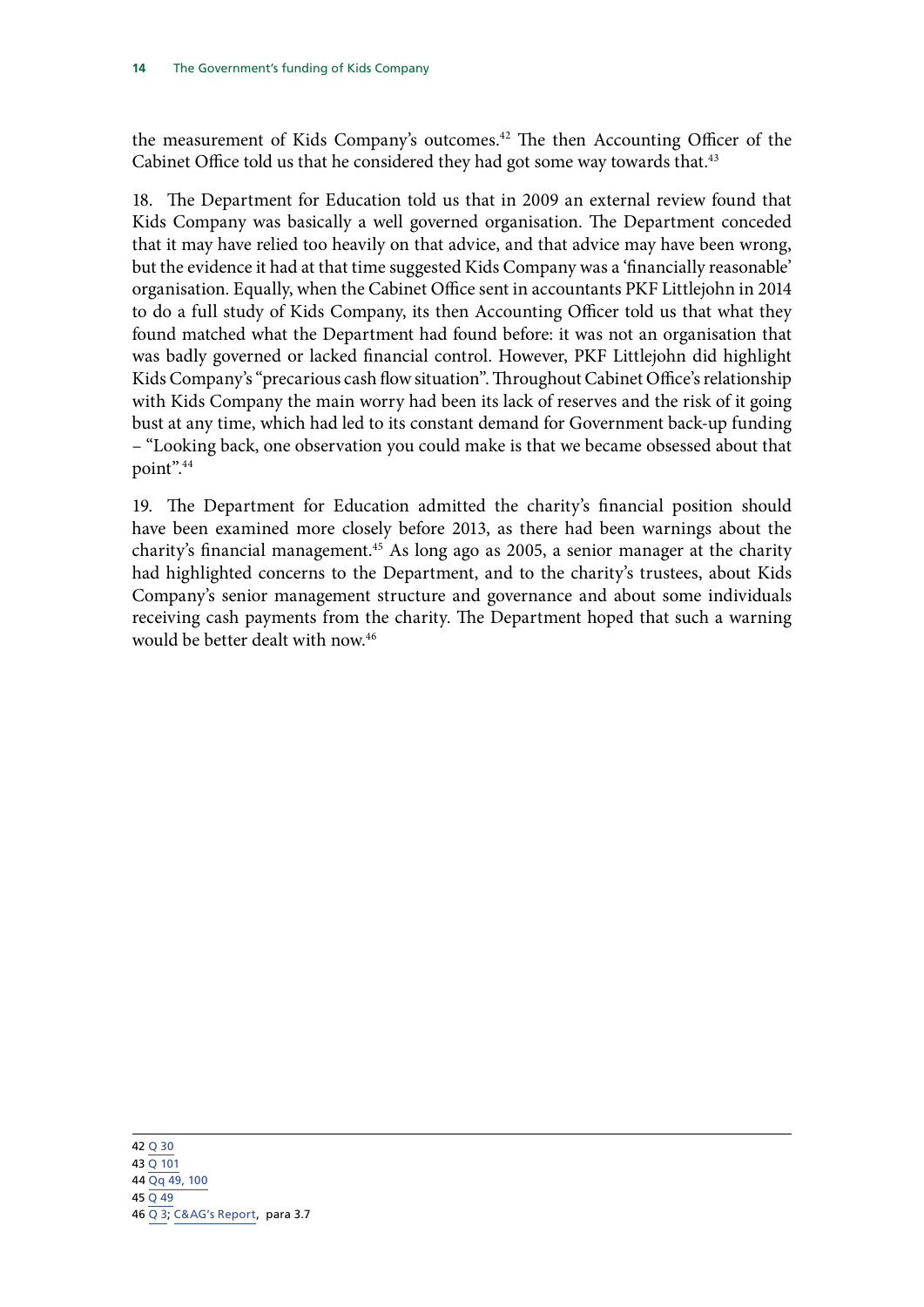the measurement of Kids Company's outcomes.<sup>42</sup> The then Accounting Officer of the Cabinet Office told us that he considered they had got some way towards that.<sup>43</sup>

18. The Department for Education told us that in 2009 an external review found that Kids Company was basically a well governed organisation. The Department conceded that it may have relied too heavily on that advice, and that advice may have been wrong, but the evidence it had at that time suggested Kids Company was a 'financially reasonable' organisation. Equally, when the Cabinet Office sent in accountants PKF Littlejohn in 2014 to do a full study of Kids Company, its then Accounting Officer told us that what they found matched what the Department had found before: it was not an organisation that was badly governed or lacked financial control. However, PKF Littlejohn did highlight Kids Company's "precarious cash flow situation". Throughout Cabinet Office's relationship with Kids Company the main worry had been its lack of reserves and the risk of it going bust at any time, which had led to its constant demand for Government back-up funding – "Looking back, one observation you could make is that we became obsessed about that point".44

19. The Department for Education admitted the charity's financial position should have been examined more closely before 2013, as there had been warnings about the charity's financial management.<sup>45</sup> As long ago as 2005, a senior manager at the charity had highlighted concerns to the Department, and to the charity's trustees, about Kids Company's senior management structure and governance and about some individuals receiving cash payments from the charity. The Department hoped that such a warning would be better dealt with now.46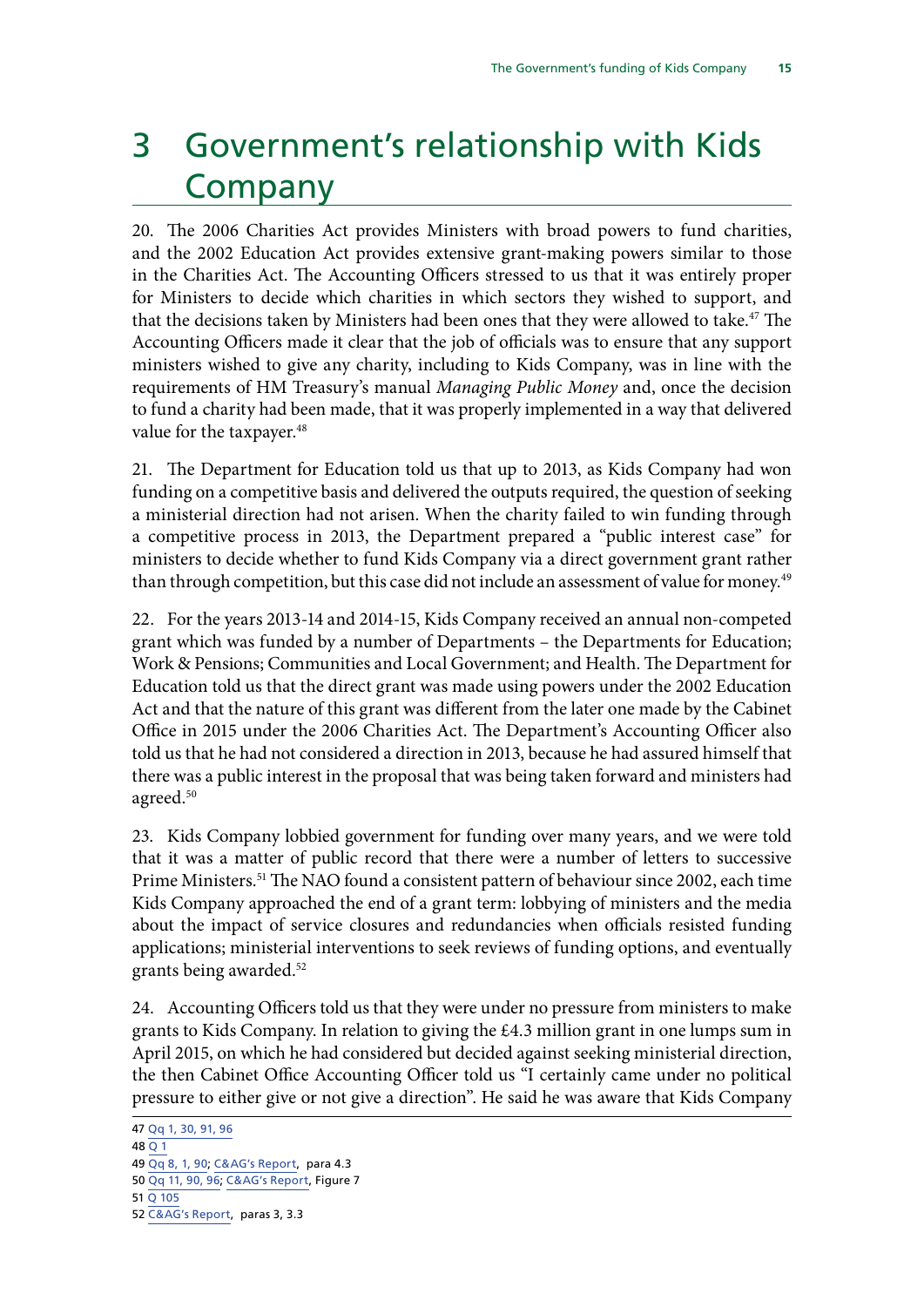# <span id="page-18-0"></span>3 Government's relationship with Kids Company

20. The 2006 Charities Act provides Ministers with broad powers to fund charities, and the 2002 Education Act provides extensive grant-making powers similar to those in the Charities Act. The Accounting Officers stressed to us that it was entirely proper for Ministers to decide which charities in which sectors they wished to support, and that the decisions taken by Ministers had been ones that they were allowed to take.<sup>47</sup> The Accounting Officers made it clear that the job of officials was to ensure that any support ministers wished to give any charity, including to Kids Company, was in line with the requirements of HM Treasury's manual *Managing Public Money* and, once the decision to fund a charity had been made, that it was properly implemented in a way that delivered value for the taxpayer.<sup>48</sup>

21. The Department for Education told us that up to 2013, as Kids Company had won funding on a competitive basis and delivered the outputs required, the question of seeking a ministerial direction had not arisen. When the charity failed to win funding through a competitive process in 2013, the Department prepared a "public interest case" for ministers to decide whether to fund Kids Company via a direct government grant rather than through competition, but this case did not include an assessment of value for money.<sup>49</sup>

22. For the years 2013-14 and 2014-15, Kids Company received an annual non-competed grant which was funded by a number of Departments – the Departments for Education; Work & Pensions; Communities and Local Government; and Health. The Department for Education told us that the direct grant was made using powers under the 2002 Education Act and that the nature of this grant was different from the later one made by the Cabinet Office in 2015 under the 2006 Charities Act. The Department's Accounting Officer also told us that he had not considered a direction in 2013, because he had assured himself that there was a public interest in the proposal that was being taken forward and ministers had agreed.<sup>50</sup>

23. Kids Company lobbied government for funding over many years, and we were told that it was a matter of public record that there were a number of letters to successive Prime Ministers.<sup>51</sup> The NAO found a consistent pattern of behaviour since 2002, each time Kids Company approached the end of a grant term: lobbying of ministers and the media about the impact of service closures and redundancies when officials resisted funding applications; ministerial interventions to seek reviews of funding options, and eventually grants being awarded.52

24. Accounting Officers told us that they were under no pressure from ministers to make grants to Kids Company. In relation to giving the £4.3 million grant in one lumps sum in April 2015, on which he had considered but decided against seeking ministerial direction, the then Cabinet Office Accounting Officer told us "I certainly came under no political pressure to either give or not give a direction". He said he was aware that Kids Company

<sup>47</sup> [Qq 1, 30, 91, 96](http://data.parliament.uk/writtenevidence/committeeevidence.svc/evidencedocument/public-accounts-committee/kids-company/oral/24013.html)  $48$  [Q 1](http://data.parliament.uk/writtenevidence/committeeevidence.svc/evidencedocument/public-accounts-committee/kids-company/oral/24013.html) 49 [Qq 8, 1, 90;](http://data.parliament.uk/writtenevidence/committeeevidence.svc/evidencedocument/public-accounts-committee/kids-company/oral/24013.html) [C&AG's Report](https://www.nao.org.uk/wp-content/uploads/2015/10/Investigation-the-governments-funding-of-Kids-Company.pdf), para 4.3 50 [Qq 11, 90, 96;](http://data.parliament.uk/writtenevidence/committeeevidence.svc/evidencedocument/public-accounts-committee/kids-company/oral/24013.html) [C&AG's Report](https://www.nao.org.uk/wp-content/uploads/2015/10/Investigation-the-governments-funding-of-Kids-Company.pdf), Figure 7 51 [Q 105](http://data.parliament.uk/writtenevidence/committeeevidence.svc/evidencedocument/public-accounts-committee/kids-company/oral/24013.html) 52 [C&AG's Report,](https://www.nao.org.uk/wp-content/uploads/2015/10/Investigation-the-governments-funding-of-Kids-Company.pdf) paras 3, 3.3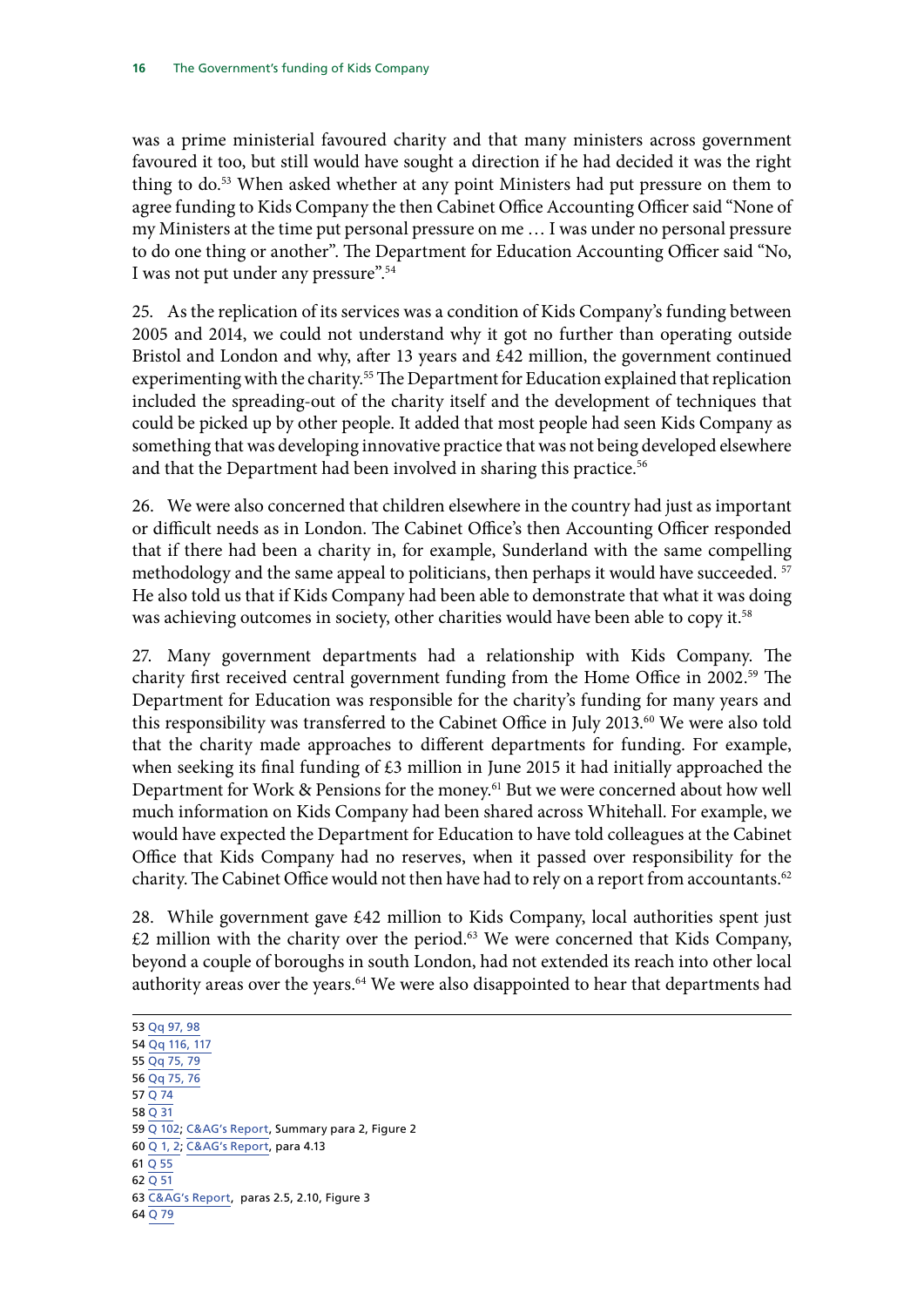was a prime ministerial favoured charity and that many ministers across government favoured it too, but still would have sought a direction if he had decided it was the right thing to do.<sup>53</sup> When asked whether at any point Ministers had put pressure on them to agree funding to Kids Company the then Cabinet Office Accounting Officer said "None of my Ministers at the time put personal pressure on me … I was under no personal pressure to do one thing or another". The Department for Education Accounting Officer said "No, I was not put under any pressure".54

25. As the replication of its services was a condition of Kids Company's funding between 2005 and 2014, we could not understand why it got no further than operating outside Bristol and London and why, after 13 years and £42 million, the government continued experimenting with the charity.<sup>55</sup> The Department for Education explained that replication included the spreading-out of the charity itself and the development of techniques that could be picked up by other people. It added that most people had seen Kids Company as something that was developing innovative practice that was not being developed elsewhere and that the Department had been involved in sharing this practice.<sup>56</sup>

26. We were also concerned that children elsewhere in the country had just as important or difficult needs as in London. The Cabinet Office's then Accounting Officer responded that if there had been a charity in, for example, Sunderland with the same compelling methodology and the same appeal to politicians, then perhaps it would have succeeded. <sup>57</sup> He also told us that if Kids Company had been able to demonstrate that what it was doing was achieving outcomes in society, other charities would have been able to copy it.<sup>58</sup>

27. Many government departments had a relationship with Kids Company. The charity first received central government funding from the Home Office in 2002.<sup>59</sup> The Department for Education was responsible for the charity's funding for many years and this responsibility was transferred to the Cabinet Office in July 2013.<sup>60</sup> We were also told that the charity made approaches to different departments for funding. For example, when seeking its final funding of £3 million in June 2015 it had initially approached the Department for Work & Pensions for the money.61 But we were concerned about how well much information on Kids Company had been shared across Whitehall. For example, we would have expected the Department for Education to have told colleagues at the Cabinet Office that Kids Company had no reserves, when it passed over responsibility for the charity. The Cabinet Office would not then have had to rely on a report from accountants.<sup>62</sup>

28. While government gave  $\text{\pounds}42$  million to Kids Company, local authorities spent just  $£2$  million with the charity over the period. $63$  We were concerned that Kids Company, beyond a couple of boroughs in south London, had not extended its reach into other local authority areas over the years.<sup>64</sup> We were also disappointed to hear that departments had

53 [Qq 97, 98](http://data.parliament.uk/writtenevidence/committeeevidence.svc/evidencedocument/public-accounts-committee/kids-company/oral/24013.html) 54 [Qq 116, 117](http://data.parliament.uk/writtenevidence/committeeevidence.svc/evidencedocument/public-accounts-committee/kids-company/oral/24013.html) 55 [Qq 75, 79](http://data.parliament.uk/writtenevidence/committeeevidence.svc/evidencedocument/public-accounts-committee/kids-company/oral/24013.html) 56 [Qq 75, 76](http://data.parliament.uk/writtenevidence/committeeevidence.svc/evidencedocument/public-accounts-committee/kids-company/oral/24013.html) 57 [Q 74](http://data.parliament.uk/writtenevidence/committeeevidence.svc/evidencedocument/public-accounts-committee/kids-company/oral/24013.html)  $58031$ 59 [Q 102;](http://data.parliament.uk/writtenevidence/committeeevidence.svc/evidencedocument/public-accounts-committee/kids-company/oral/24013.html) [C&AG's Report](https://www.nao.org.uk/wp-content/uploads/2015/10/Investigation-the-governments-funding-of-Kids-Company.pdf), Summary para 2, Figure 2 60 [Q 1, 2](http://data.parliament.uk/writtenevidence/committeeevidence.svc/evidencedocument/public-accounts-committee/kids-company/oral/24013.html); [C&AG's Report](https://www.nao.org.uk/wp-content/uploads/2015/10/Investigation-the-governments-funding-of-Kids-Company.pdf), para 4.13 61 [Q 55](http://data.parliament.uk/writtenevidence/committeeevidence.svc/evidencedocument/public-accounts-committee/kids-company/oral/24013.html) 62 [Q 51](http://data.parliament.uk/writtenevidence/committeeevidence.svc/evidencedocument/public-accounts-committee/kids-company/oral/24013.html) 63 [C&AG's Report,](https://www.nao.org.uk/wp-content/uploads/2015/10/Investigation-the-governments-funding-of-Kids-Company.pdf) paras 2.5, 2.10, Figure 3 64 [Q 79](http://data.parliament.uk/writtenevidence/committeeevidence.svc/evidencedocument/public-accounts-committee/kids-company/oral/24013.html)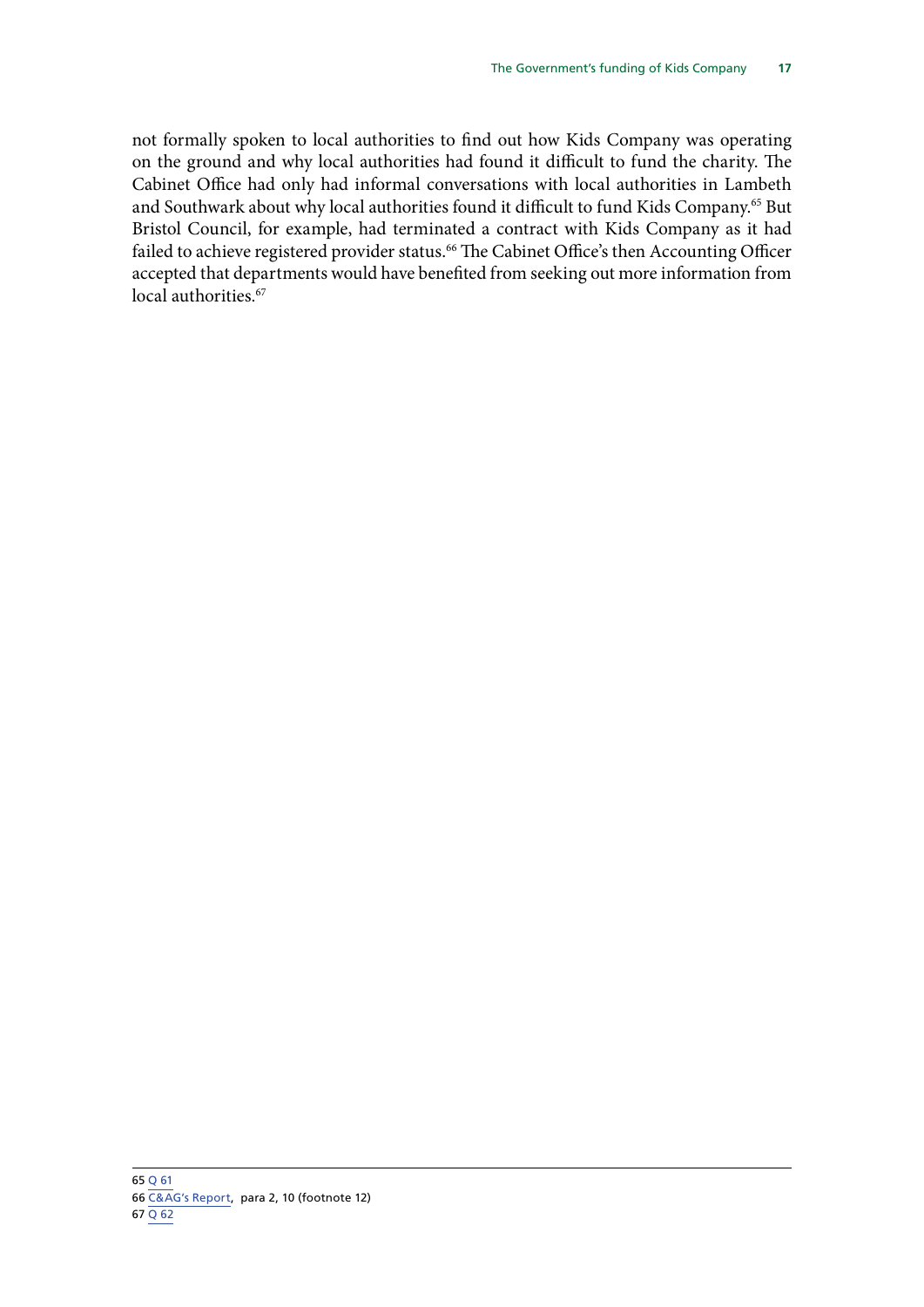not formally spoken to local authorities to find out how Kids Company was operating on the ground and why local authorities had found it difficult to fund the charity. The Cabinet Office had only had informal conversations with local authorities in Lambeth and Southwark about why local authorities found it difficult to fund Kids Company.<sup>65</sup> But Bristol Council, for example, had terminated a contract with Kids Company as it had failed to achieve registered provider status.<sup>66</sup> The Cabinet Office's then Accounting Officer accepted that departments would have benefited from seeking out more information from local authorities.<sup>67</sup>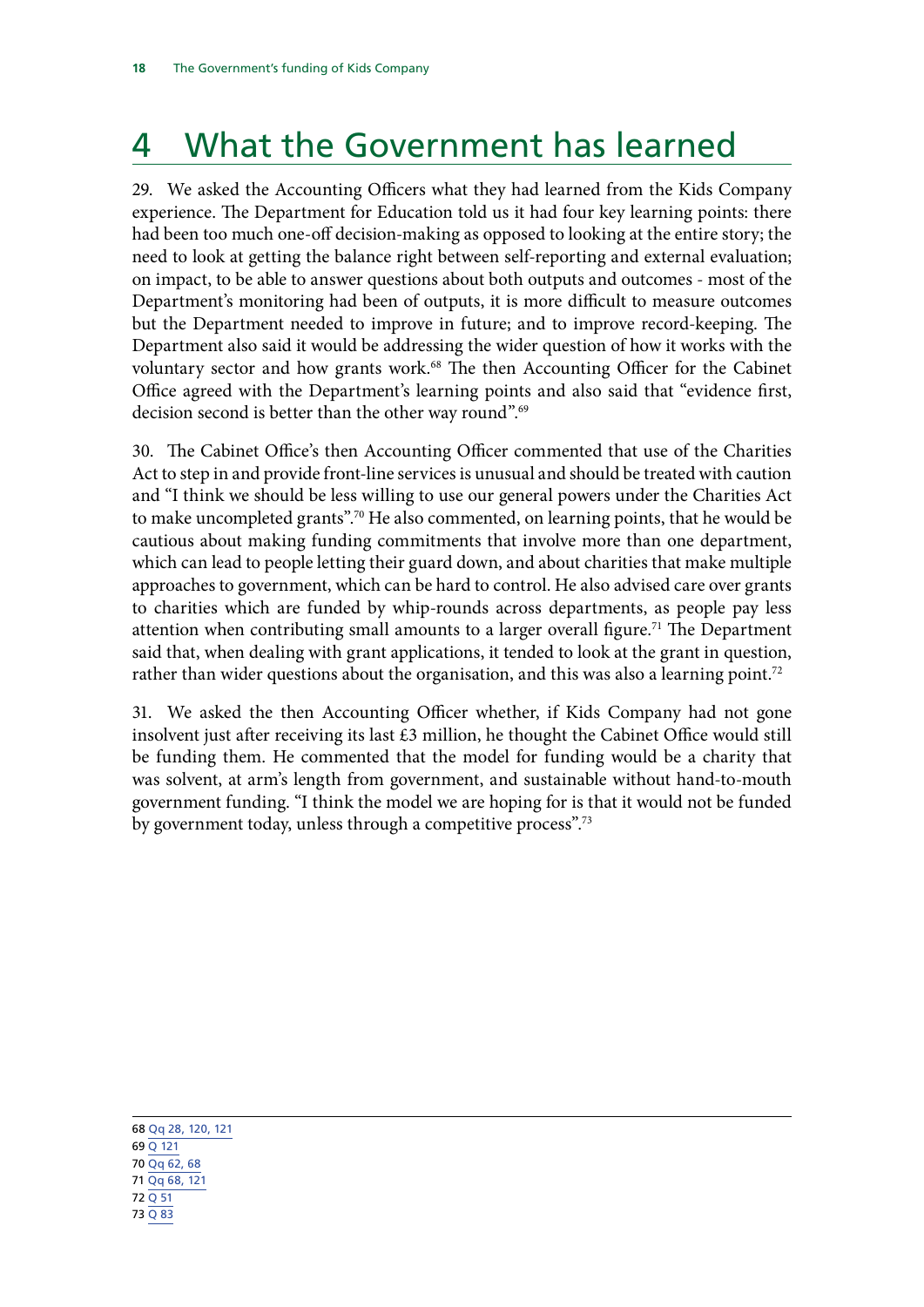# <span id="page-21-0"></span>4 What the Government has learned

29. We asked the Accounting Officers what they had learned from the Kids Company experience. The Department for Education told us it had four key learning points: there had been too much one-off decision-making as opposed to looking at the entire story; the need to look at getting the balance right between self-reporting and external evaluation; on impact, to be able to answer questions about both outputs and outcomes - most of the Department's monitoring had been of outputs, it is more difficult to measure outcomes but the Department needed to improve in future; and to improve record-keeping. The Department also said it would be addressing the wider question of how it works with the voluntary sector and how grants work.<sup>68</sup> The then Accounting Officer for the Cabinet Office agreed with the Department's learning points and also said that "evidence first, decision second is better than the other way round".69

30. The Cabinet Office's then Accounting Officer commented that use of the Charities Act to step in and provide front-line services is unusual and should be treated with caution and "I think we should be less willing to use our general powers under the Charities Act to make uncompleted grants".70 He also commented, on learning points, that he would be cautious about making funding commitments that involve more than one department, which can lead to people letting their guard down, and about charities that make multiple approaches to government, which can be hard to control. He also advised care over grants to charities which are funded by whip-rounds across departments, as people pay less attention when contributing small amounts to a larger overall figure.<sup>71</sup> The Department said that, when dealing with grant applications, it tended to look at the grant in question, rather than wider questions about the organisation, and this was also a learning point.<sup>72</sup>

31. We asked the then Accounting Officer whether, if Kids Company had not gone insolvent just after receiving its last  $£3$  million, he thought the Cabinet Office would still be funding them. He commented that the model for funding would be a charity that was solvent, at arm's length from government, and sustainable without hand-to-mouth government funding. "I think the model we are hoping for is that it would not be funded by government today, unless through a competitive process".<sup>73</sup>

68 [Qq 28, 120, 121](http://data.parliament.uk/writtenevidence/committeeevidence.svc/evidencedocument/public-accounts-committee/kids-company/oral/24013.html) 69 [Q 121](http://data.parliament.uk/writtenevidence/committeeevidence.svc/evidencedocument/public-accounts-committee/kids-company/oral/24013.html) 70 [Qq 62, 68](http://data.parliament.uk/writtenevidence/committeeevidence.svc/evidencedocument/public-accounts-committee/kids-company/oral/24013.html) 71 [Qq 68, 121](http://data.parliament.uk/writtenevidence/committeeevidence.svc/evidencedocument/public-accounts-committee/kids-company/oral/24013.html) 72 [Q 51](http://data.parliament.uk/writtenevidence/committeeevidence.svc/evidencedocument/public-accounts-committee/kids-company/oral/24013.html) 73 [Q 83](http://data.parliament.uk/writtenevidence/committeeevidence.svc/evidencedocument/public-accounts-committee/kids-company/oral/24013.html)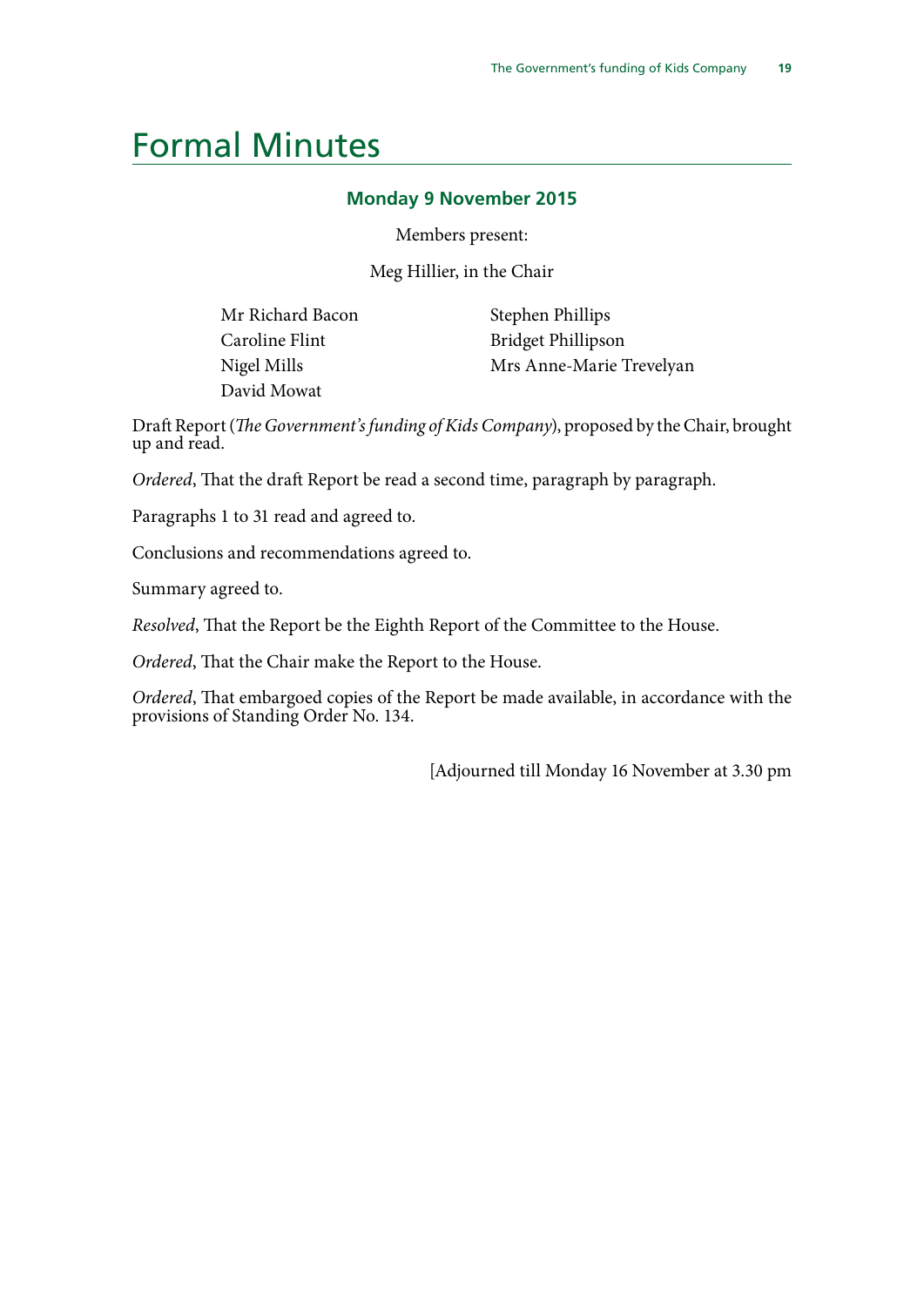### <span id="page-22-0"></span>Formal Minutes

#### **Monday 9 November 2015**

Members present:

Meg Hillier, in the Chair

Mr Richard Bacon Caroline Flint Nigel Mills David Mowat

Stephen Phillips Bridget Phillipson Mrs Anne-Marie Trevelyan

Draft Report (*The Government's funding of Kids Company*), proposed by the Chair, brought up and read.

*Ordered*, That the draft Report be read a second time, paragraph by paragraph.

Paragraphs 1 to 31 read and agreed to.

Conclusions and recommendations agreed to.

Summary agreed to.

*Resolved*, That the Report be the Eighth Report of the Committee to the House.

*Ordered*, That the Chair make the Report to the House.

*Ordered*, That embargoed copies of the Report be made available, in accordance with the provisions of Standing Order No. 134.

[Adjourned till Monday 16 November at 3.30 pm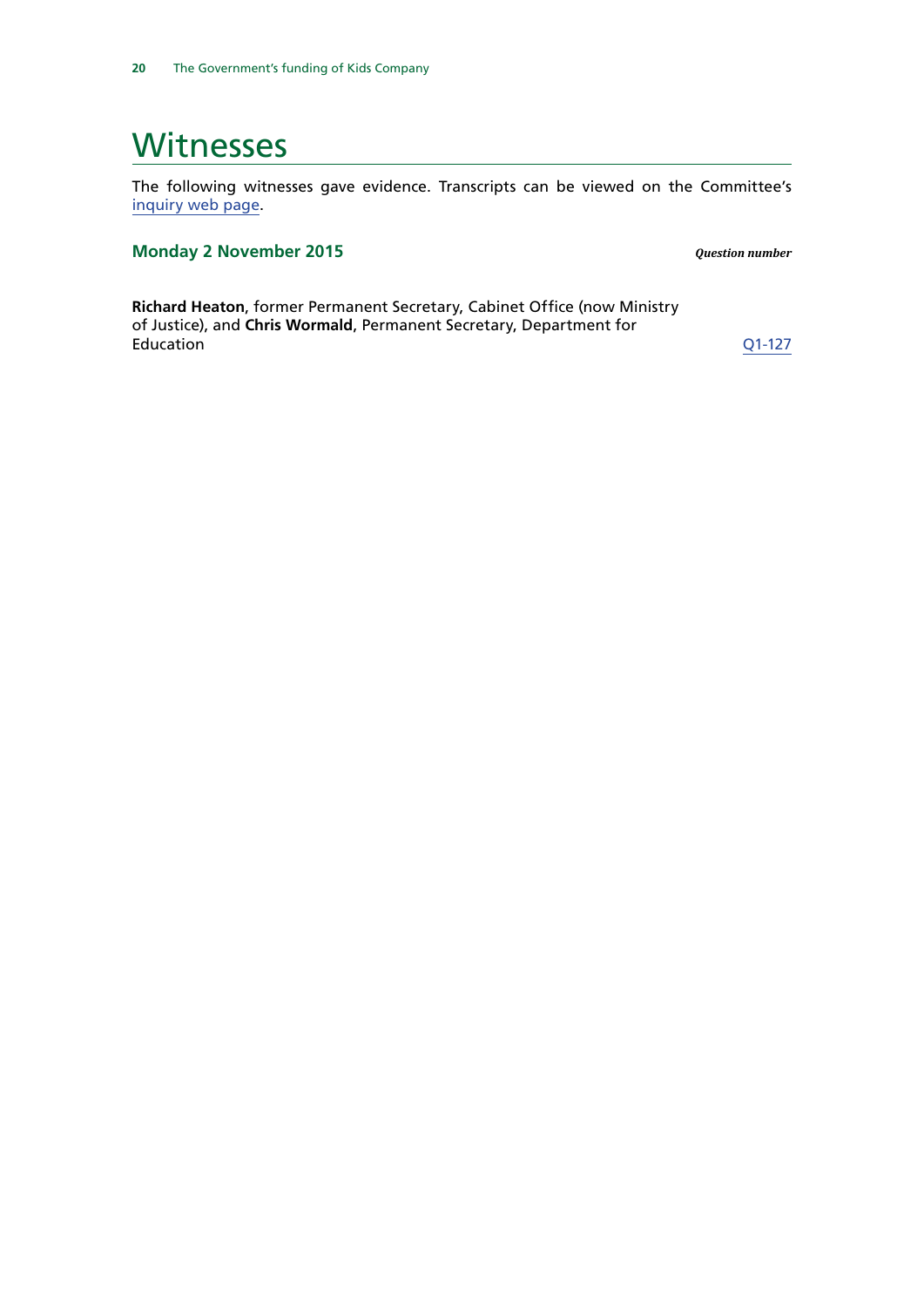### <span id="page-23-0"></span>**Witnesses**

The following witnesses gave evidence. Transcripts can be viewed on the Committee's [inquiry web page](http://www.parliament.uk/business/committees/committees-a-z/commons-select/public-accounts-committee/inquiries/parliament-2015/closure-of-kids-company-15-16/).

### **Monday 2 November 2015** *Question number*

**Richard Heaton**, former Permanent Secretary, Cabinet Office (now Ministry of Justice), and **Chris Wormald**, Permanent Secretary, Department for Education [Q1-127](http://data.parliament.uk/writtenevidence/committeeevidence.svc/evidencedocument/public-accounts-committee/kids-company/oral/24013.html)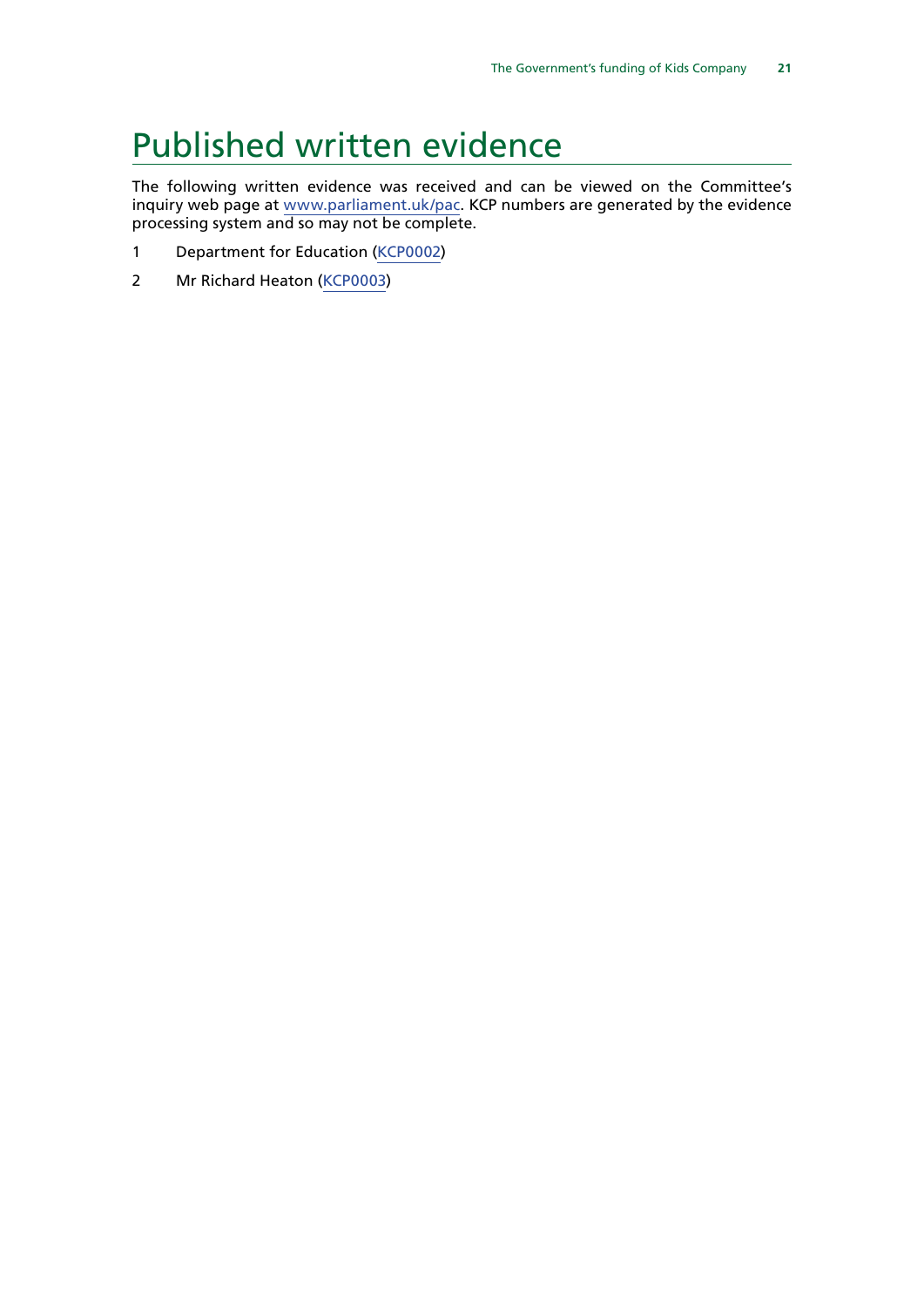### <span id="page-24-0"></span>Published written evidence

The following written evidence was received and can be viewed on the Committee's inquiry web page at [www.parliament.uk/](http://www.parliament.uk/business/committees/committees-a-z/commons-select/public-accounts-committee/)pac. KCP numbers are generated by the evidence processing system and so may not be complete.

- 1 Department for Education [\(KCP0002](http://data.parliament.uk/WrittenEvidence/CommitteeEvidence.svc/EvidenceDocument/Public%20Accounts/Kids%20Company/written/24309.html))
- 2 Mr Richard Heaton [\(KCP0003\)](http://data.parliament.uk/WrittenEvidence/CommitteeEvidence.svc/EvidenceDocument/Public%20Accounts/Kids%20Company/written/24310.html)